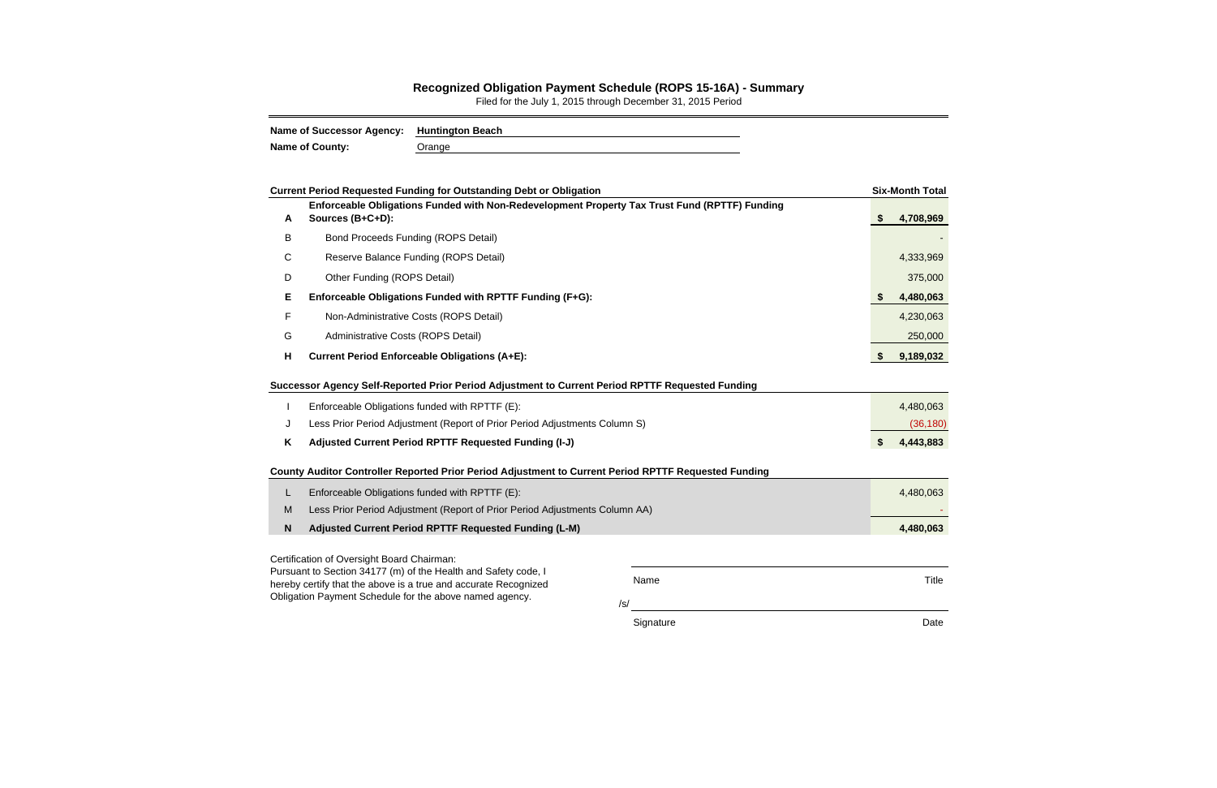/s/

Signature Date Date Date

Title

|   | <b>Current Period Requested Funding for Outstanding Debt or Obligation</b>                                                                                                                                                       |          | <b>Six-Month Total</b> |
|---|----------------------------------------------------------------------------------------------------------------------------------------------------------------------------------------------------------------------------------|----------|------------------------|
| A | Enforceable Obligations Funded with Non-Redevelopment Property Tax Trust Fund (RPTTF) Funding<br>Sources (B+C+D):                                                                                                                | <b>S</b> | 4,708,969              |
| B | <b>Bond Proceeds Funding (ROPS Detail)</b>                                                                                                                                                                                       |          |                        |
| C | Reserve Balance Funding (ROPS Detail)                                                                                                                                                                                            |          | 4,333,969              |
| D | Other Funding (ROPS Detail)                                                                                                                                                                                                      |          | 375,000                |
| Е | Enforceable Obligations Funded with RPTTF Funding (F+G):                                                                                                                                                                         |          | 4,480,063              |
| F | Non-Administrative Costs (ROPS Detail)                                                                                                                                                                                           |          | 4,230,063              |
| G | Administrative Costs (ROPS Detail)                                                                                                                                                                                               |          | 250,000                |
| н | <b>Current Period Enforceable Obligations (A+E):</b>                                                                                                                                                                             | S.       | 9,189,032              |
| J | Successor Agency Self-Reported Prior Period Adjustment to Current Period RPTTF Requested Funding<br>Enforceable Obligations funded with RPTTF (E):<br>Less Prior Period Adjustment (Report of Prior Period Adjustments Column S) |          | 4,480,063<br>(36, 180) |
| Κ | Adjusted Current Period RPTTF Requested Funding (I-J)                                                                                                                                                                            | \$       | 4,443,883              |
|   | County Auditor Controller Reported Prior Period Adjustment to Current Period RPTTF Requested Funding                                                                                                                             |          |                        |
| L | Enforceable Obligations funded with RPTTF (E):                                                                                                                                                                                   |          | 4,480,063              |
| M | Less Prior Period Adjustment (Report of Prior Period Adjustments Column AA)                                                                                                                                                      |          |                        |
| N | Adjusted Current Period RPTTF Requested Funding (L-M)                                                                                                                                                                            |          | 4,480,063              |
|   | Certification of Oversight Board Chairman:                                                                                                                                                                                       |          |                        |
|   | Pursuant to Section 34177 (m) of the Health and Safety code, I<br>Name<br>boroby cortify that the above is a true and acourate Pessonized                                                                                        |          | Title                  |

hereby certify that the above is a true and accurate Recognized Obligation Payment Schedule for the above named agency.

## **Recognized Obligation Payment Schedule (ROPS 15-16A) - Summary**

Filed for the July 1, 2015 through December 31, 2015 Period

| Name of Successor Agency: Huntington Beach |        |
|--------------------------------------------|--------|
| <b>Name of County:</b>                     | Orange |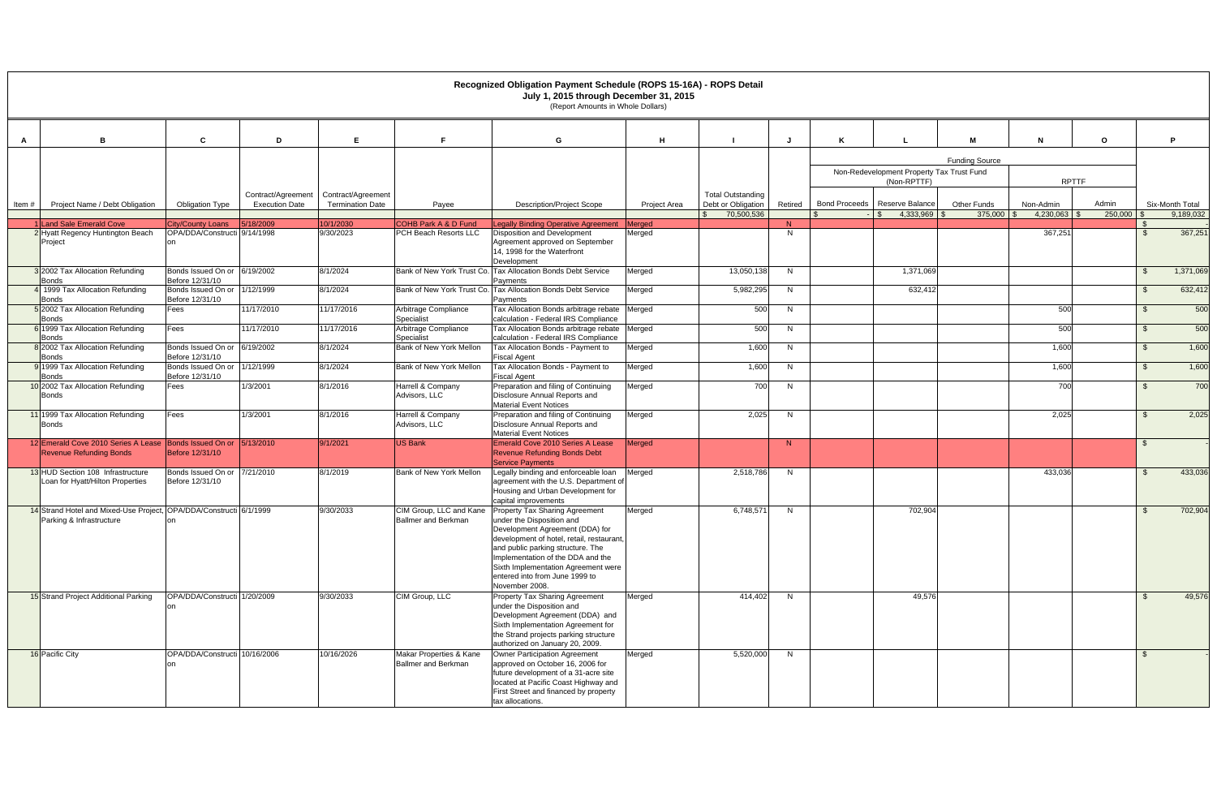|       |                                                                                                    |                                                 |                                             |                                               |                                                       | Recognized Obligation Payment Schedule (ROPS 15-16A) - ROPS Detail<br>July 1, 2015 through December 31, 2015<br>(Report Amounts in Whole Dollars)                                                                                                                                                                                        |                     |                                                              |         |                      |                                                          |                        |                        |                  |      |                              |
|-------|----------------------------------------------------------------------------------------------------|-------------------------------------------------|---------------------------------------------|-----------------------------------------------|-------------------------------------------------------|------------------------------------------------------------------------------------------------------------------------------------------------------------------------------------------------------------------------------------------------------------------------------------------------------------------------------------------|---------------------|--------------------------------------------------------------|---------|----------------------|----------------------------------------------------------|------------------------|------------------------|------------------|------|------------------------------|
| A     |                                                                                                    | C                                               | D                                           | Е                                             |                                                       | G                                                                                                                                                                                                                                                                                                                                        | H                   |                                                              |         |                      |                                                          |                        |                        | $\mathbf{o}$     |      | D                            |
|       |                                                                                                    |                                                 |                                             |                                               |                                                       |                                                                                                                                                                                                                                                                                                                                          |                     |                                                              |         |                      | Non-Redevelopment Property Tax Trust Fund<br>(Non-RPTTF) | <b>Funding Source</b>  | <b>RPTTF</b>           |                  |      |                              |
| Item# | Project Name / Debt Obligation                                                                     | <b>Obligation Type</b>                          | Contract/Agreement<br><b>Execution Date</b> | Contract/Agreement<br><b>Termination Date</b> | Payee                                                 | <b>Description/Project Scope</b>                                                                                                                                                                                                                                                                                                         | <b>Project Area</b> | <b>Total Outstanding</b><br>Debt or Obligation<br>70,500,536 | Retired | <b>Bond Proceeds</b> | Reserve Balance<br>4,333,969<br>$\mathbf{\hat{s}}$       | Other Funds<br>375,000 | Non-Admin<br>4.230.063 | Admin<br>250,000 |      | Six-Month Total<br>9,189,032 |
|       | <b>Land Sale Emerald Cove</b>                                                                      | City/County Loans                               | 5/18/2009                                   | 10/1/2030                                     | <b>COHB Park A &amp; D Fund</b>                       | Legally Binding Operative Agreement                                                                                                                                                                                                                                                                                                      | <b>Merged</b>       |                                                              | N       |                      |                                                          |                        |                        |                  |      |                              |
|       | 2 Hyatt Regency Huntington Beach<br>Project                                                        | OPA/DDA/Constructi 9/14/1998<br>on              |                                             | 9/30/2023                                     | PCH Beach Resorts LLC                                 | Disposition and Development<br>Agreement approved on September<br>14, 1998 for the Waterfront<br>Development                                                                                                                                                                                                                             | Merged              |                                                              | N       |                      |                                                          |                        | 367,251                |                  |      | 367,251                      |
|       | 3 2002 Tax Allocation Refunding<br><b>Bonds</b>                                                    | Bonds Issued On or 6/19/2002<br>Before 12/31/10 |                                             | 8/1/2024                                      |                                                       | Bank of New York Trust Co. Tax Allocation Bonds Debt Service<br>Payments                                                                                                                                                                                                                                                                 | Merged              | 13,050,138                                                   | N       |                      | 1,371,069                                                |                        |                        |                  | - \$ | 1,371,069                    |
|       | 1999 Tax Allocation Refunding<br><b>Bonds</b>                                                      | Bonds Issued On or 1/12/1999<br>Before 12/31/10 |                                             | 8/1/2024                                      |                                                       | Bank of New York Trust Co. Tax Allocation Bonds Debt Service<br>Payments                                                                                                                                                                                                                                                                 | Merged              | 5,982,295                                                    | N       |                      | 632,412                                                  |                        |                        |                  | - \$ | 632,412                      |
|       | 5 2002 Tax Allocation Refunding<br><b>Bonds</b>                                                    | Fees                                            | 11/17/2010                                  | 11/17/2016                                    | Arbitrage Compliance<br>Specialist                    | Tax Allocation Bonds arbitrage rebate Merged<br>calculation - Federal IRS Compliance                                                                                                                                                                                                                                                     |                     | 500                                                          | N       |                      |                                                          |                        | 500                    |                  | - \$ | 500                          |
|       | 1999 Tax Allocation Refunding<br><b>Bonds</b>                                                      | Fees                                            | 11/17/2010                                  | 11/17/2016                                    | Arbitrage Compliance<br>Specialist                    | Tax Allocation Bonds arbitrage rebate<br>calculation - Federal IRS Compliance                                                                                                                                                                                                                                                            | Merged              | 500                                                          | N       |                      |                                                          |                        | 500                    |                  | -\$  | 500                          |
|       | 8 2002 Tax Allocation Refunding<br><b>Bonds</b>                                                    | Bonds Issued On or 6/19/2002<br>Before 12/31/10 |                                             | 8/1/2024                                      | Bank of New York Mellon                               | Tax Allocation Bonds - Payment to<br><b>Fiscal Agent</b>                                                                                                                                                                                                                                                                                 | Merged              | 1,600                                                        | N       |                      |                                                          |                        | 1,600                  |                  | \$   | 1,600                        |
|       | 1999 Tax Allocation Refunding<br><b>Bonds</b>                                                      | Bonds Issued On or<br>Before 12/31/10           | 1/12/1999                                   | 8/1/2024                                      | Bank of New York Mellon                               | Tax Allocation Bonds - Payment to<br><b>Fiscal Agent</b>                                                                                                                                                                                                                                                                                 | Merged              | 1,600                                                        | N       |                      |                                                          |                        | 1,600                  |                  | - \$ | 1,600                        |
|       | 10 2002 Tax Allocation Refunding<br><b>Bonds</b>                                                   | Fees                                            | 1/3/2001                                    | 8/1/2016                                      | Harrell & Company<br>Advisors, LLC                    | Preparation and filing of Continuing<br>Disclosure Annual Reports and<br><b>Material Event Notices</b>                                                                                                                                                                                                                                   | Merged              | 700                                                          | N.      |                      |                                                          |                        | 700                    |                  | - \$ | 700                          |
|       | 11 1999 Tax Allocation Refunding<br><b>Bonds</b>                                                   | Fees                                            | 1/3/2001                                    | 8/1/2016                                      | Harrell & Company<br>Advisors, LLC                    | Preparation and filing of Continuing<br>Disclosure Annual Reports and<br><b>Material Event Notices</b>                                                                                                                                                                                                                                   | Merged              | 2,025                                                        | N       |                      |                                                          |                        | 2,025                  |                  | - \$ | 2,025                        |
|       | 12 Emerald Cove 2010 Series A Lease Bonds Issued On or 5/13/2010<br><b>Revenue Refunding Bonds</b> | Before 12/31/10                                 |                                             | 9/1/2021                                      | <b>US Bank</b>                                        | Emerald Cove 2010 Series A Lease<br><b>Revenue Refunding Bonds Debt</b><br><b>Service Payments</b>                                                                                                                                                                                                                                       | Merged              |                                                              | N.      |                      |                                                          |                        |                        |                  |      |                              |
|       | 13 HUD Section 108 Infrastructure<br>Loan for Hyatt/Hilton Properties                              | Bonds Issued On or<br>Before 12/31/10           | 7/21/2010                                   | 8/1/2019                                      | Bank of New York Mellon                               | Legally binding and enforceable loan<br>agreement with the U.S. Department of<br>Housing and Urban Development for<br>capital improvements                                                                                                                                                                                               | Merged              | 2,518,786                                                    | N       |                      |                                                          |                        | 433,036                |                  | - \$ | 433,036                      |
|       | 14 Strand Hotel and Mixed-Use Project, OPA/DDA/Constructi 6/1/1999<br>Parking & Infrastructure     | on                                              |                                             | 9/30/2033                                     | <b>Ballmer and Berkman</b>                            | CIM Group, LLC and Kane Property Tax Sharing Agreement<br>under the Disposition and<br>Development Agreement (DDA) for<br>development of hotel, retail, restaurant,<br>and public parking structure. The<br>Implementation of the DDA and the<br>Sixth Implementation Agreement were<br>entered into from June 1999 to<br>November 2008. | Merged              | 6,748,571                                                    | N.      |                      | 702,904                                                  |                        |                        |                  | - \$ | 702,904                      |
|       | 15 Strand Project Additional Parking                                                               | OPA/DDA/Constructi 1/20/2009                    |                                             | 9/30/2033                                     | CIM Group, LLC                                        | Property Tax Sharing Agreement<br>under the Disposition and<br>Development Agreement (DDA) and<br>Sixth Implementation Agreement for<br>the Strand projects parking structure<br>authorized on January 20, 2009.                                                                                                                         | Merged              | 414,402                                                      | N       |                      | 49,576                                                   |                        |                        |                  |      | 49,576                       |
|       | 16 Pacific City                                                                                    | OPA/DDA/Constructi 10/16/2006                   |                                             | 10/16/2026                                    | Makar Properties & Kane<br><b>Ballmer and Berkman</b> | <b>Owner Participation Agreement</b><br>approved on October 16, 2006 for<br>future development of a 31-acre site<br>located at Pacific Coast Highway and<br>First Street and financed by property<br>tax allocations.                                                                                                                    | Merged              | 5,520,000                                                    | N       |                      |                                                          |                        |                        |                  | - \$ |                              |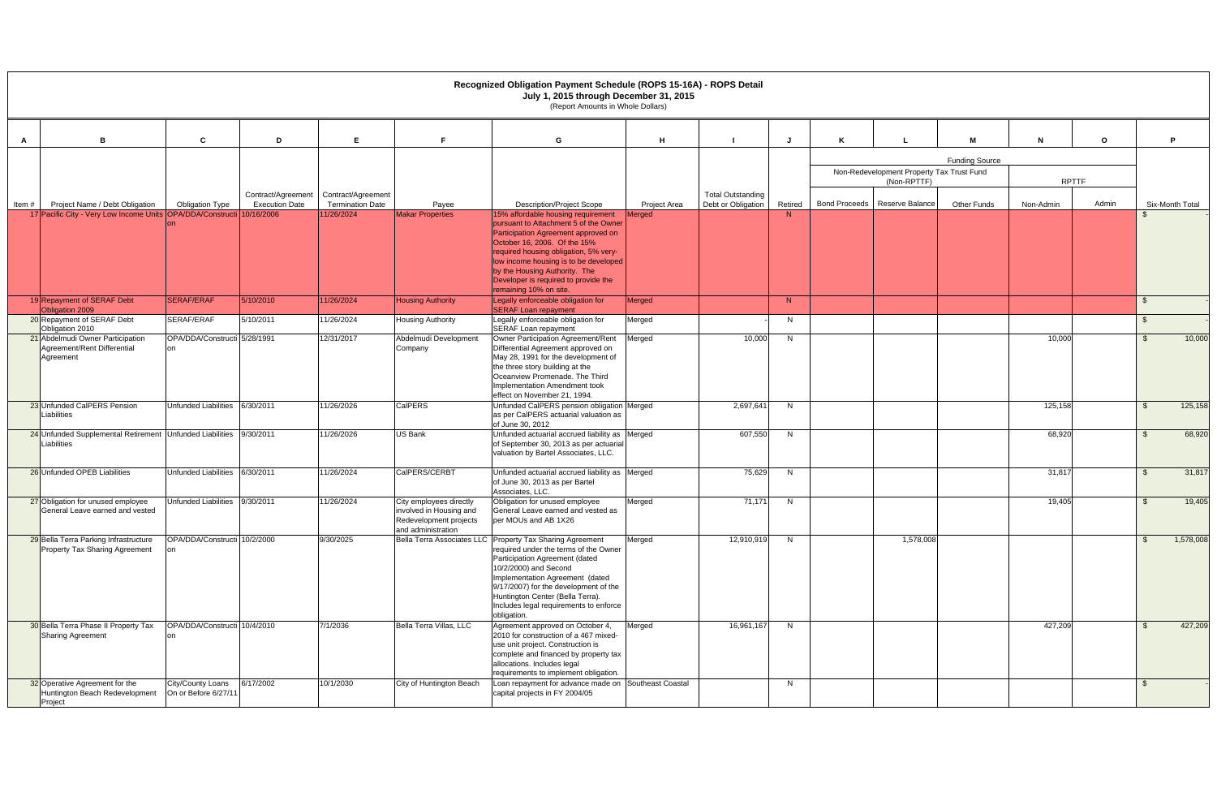|       |                                                                              |                                          |                                             |                                               |                                                                                                    | Recognized Obligation Payment Schedule (ROPS 15-16A) - ROPS Detail<br>July 1, 2015 through December 31, 2015                                                                                                                                                                                                                            |                     |                                                |         |                                                          |                       |              |              |      |                 |
|-------|------------------------------------------------------------------------------|------------------------------------------|---------------------------------------------|-----------------------------------------------|----------------------------------------------------------------------------------------------------|-----------------------------------------------------------------------------------------------------------------------------------------------------------------------------------------------------------------------------------------------------------------------------------------------------------------------------------------|---------------------|------------------------------------------------|---------|----------------------------------------------------------|-----------------------|--------------|--------------|------|-----------------|
|       |                                                                              |                                          |                                             |                                               |                                                                                                    | (Report Amounts in Whole Dollars)                                                                                                                                                                                                                                                                                                       |                     |                                                |         |                                                          |                       |              |              |      |                 |
| A     | B                                                                            | C                                        | D                                           | E.                                            |                                                                                                    | G                                                                                                                                                                                                                                                                                                                                       | H                   |                                                |         |                                                          | м                     | N            | $\mathbf{o}$ | P    |                 |
|       |                                                                              |                                          |                                             |                                               |                                                                                                    |                                                                                                                                                                                                                                                                                                                                         |                     |                                                |         |                                                          | <b>Funding Source</b> |              |              |      |                 |
|       |                                                                              |                                          |                                             |                                               |                                                                                                    |                                                                                                                                                                                                                                                                                                                                         |                     |                                                |         | Non-Redevelopment Property Tax Trust Fund<br>(Non-RPTTF) |                       | <b>RPTTF</b> |              |      |                 |
| Item# | Project Name / Debt Obligation                                               | <b>Obligation Type</b>                   | Contract/Agreement<br><b>Execution Date</b> | Contract/Agreement<br><b>Termination Date</b> | Payee                                                                                              | <b>Description/Project Scope</b>                                                                                                                                                                                                                                                                                                        | <b>Project Area</b> | <b>Total Outstanding</b><br>Debt or Obligation | Retired | Bond Proceeds   Reserve Balance                          | <b>Other Funds</b>    | Non-Admin    | Admin        |      | Six-Month Total |
|       | 17 Pacific City - Very Low Income Units OPA/DDA/Constructi 10/16/2006        |                                          |                                             | 11/26/2024                                    | <b>Makar Properties</b>                                                                            | 15% affordable housing requirement<br>pursuant to Attachment 5 of the Owner<br>Participation Agreement approved on<br>October 16, 2006. Of the 15%<br>required housing obligation, 5% very-<br>low income housing is to be developed<br>by the Housing Authority. The<br>Developer is required to provide the<br>remaining 10% on site. | <b>Merged</b>       |                                                | N       |                                                          |                       |              |              |      |                 |
|       | 19 Repayment of SERAF Debt<br>Obligation 2009                                | <b>SERAF/ERAF</b>                        | 5/10/2010                                   | 11/26/2024                                    | <b>Housing Authority</b>                                                                           | Legally enforceable obligation for<br><b>SERAF Loan repayment</b>                                                                                                                                                                                                                                                                       | Merged              |                                                | N       |                                                          |                       |              |              | - \$ |                 |
|       | 20 Repayment of SERAF Debt<br>Obligation 2010                                | SERAF/ERAF                               | 5/10/2011                                   | 11/26/2024                                    | Housing Authority                                                                                  | Legally enforceable obligation for<br><b>SERAF Loan repayment</b>                                                                                                                                                                                                                                                                       | Merged              |                                                | N.      |                                                          |                       |              |              | -S   |                 |
|       | 21 Abdelmudi Owner Participation<br>Agreement/Rent Differential<br>Agreement | OPA/DDA/Constructi 5/28/1991<br>on       |                                             | 12/31/2017                                    | Abdelmudi Development<br>Company                                                                   | Owner Participation Agreement/Rent<br>Differential Agreement approved on<br>May 28, 1991 for the development of<br>the three story building at the<br>Oceanview Promenade, The Third<br>Implementation Amendment took<br>effect on November 21, 1994.                                                                                   | Merged              | 10,000                                         | N.      |                                                          |                       | 10,000       |              | - \$ | 10,000          |
|       | 23 Unfunded CalPERS Pension<br>Liabilities                                   | Unfunded Liabilities                     | 6/30/2011                                   | 11/26/2026                                    | <b>CalPERS</b>                                                                                     | Unfunded CalPERS pension obligation Merged<br>as per CalPERS actuarial valuation as<br>of June 30, 2012                                                                                                                                                                                                                                 |                     | 2,697,64                                       | N.      |                                                          |                       | 125,158      |              | - \$ | 125,158         |
|       | 24 Unfunded Supplemental Retirement Unfunded Liabilities<br>Liabilities      |                                          | 9/30/2011                                   | 11/26/2026                                    | <b>US Bank</b>                                                                                     | Unfunded actuarial accrued liability as Merged<br>of September 30, 2013 as per actuarial<br>valuation by Bartel Associates, LLC.                                                                                                                                                                                                        |                     | 607,550                                        | N.      |                                                          |                       | 68,920       |              | - \$ | 68,920          |
|       | 26 Unfunded OPEB Liabilities                                                 | Unfunded Liabilities 6/30/2011           |                                             | 11/26/2024                                    | CalPERS/CERBT                                                                                      | Unfunded actuarial accrued liability as Merged<br>of June 30, 2013 as per Bartel<br>Associates, LLC.                                                                                                                                                                                                                                    |                     | 75,629                                         | N       |                                                          |                       | 31,817       |              | -\$  | 31,817          |
|       | 27 Obligation for unused employee<br>General Leave earned and vested         | <b>Unfunded Liabilities</b>              | 9/30/2011                                   | 11/26/2024                                    | City employees directly<br>involved in Housing and<br>Redevelopment projects<br>and administration | Obligation for unused employee<br>General Leave earned and vested as<br>per MOUs and AB 1X26                                                                                                                                                                                                                                            | Merged              | 71,171                                         | N.      |                                                          |                       | 19,405       |              | -\$  | 19,405          |
|       | 29 Bella Terra Parking Infrastructure<br>Property Tax Sharing Agreement      | OPA/DDA/Constructi 10/2/2000             |                                             | 9/30/2025                                     |                                                                                                    | Bella Terra Associates LLC Property Tax Sharing Agreement<br>required under the terms of the Owner<br>Participation Agreement (dated<br>10/2/2000) and Second<br>Implementation Agreement (dated<br>9/17/2007) for the development of the<br>Huntington Center (Bella Terra).<br>Includes legal requirements to enforce<br>obligation.  | Merged              | 12,910,919                                     | N       | 1,578,008                                                |                       |              |              |      | 1,578,008       |
|       | 30 Bella Terra Phase II Property Tax<br><b>Sharing Agreement</b>             | OPA/DDA/Constructi 10/4/2010<br>on       |                                             | 7/1/2036                                      | Bella Terra Villas, LLC                                                                            | Agreement approved on October 4,<br>2010 for construction of a 467 mixed-<br>use unit project. Construction is<br>complete and financed by property tax<br>allocations. Includes legal<br>requirements to implement obligation.                                                                                                         | Merged              | 16,961,167                                     | N       |                                                          |                       | 427,209      |              | -\$  | 427,209         |
|       | 32 Operative Agreement for the<br>Huntington Beach Redevelopment<br>Project  | City/County Loans<br>On or Before 6/27/1 | 6/17/2002                                   | 10/1/2030                                     | City of Huntington Beach                                                                           | Loan repayment for advance made on Southeast Coastal<br>capital projects in FY 2004/05                                                                                                                                                                                                                                                  |                     |                                                | N       |                                                          |                       |              |              | -\$  |                 |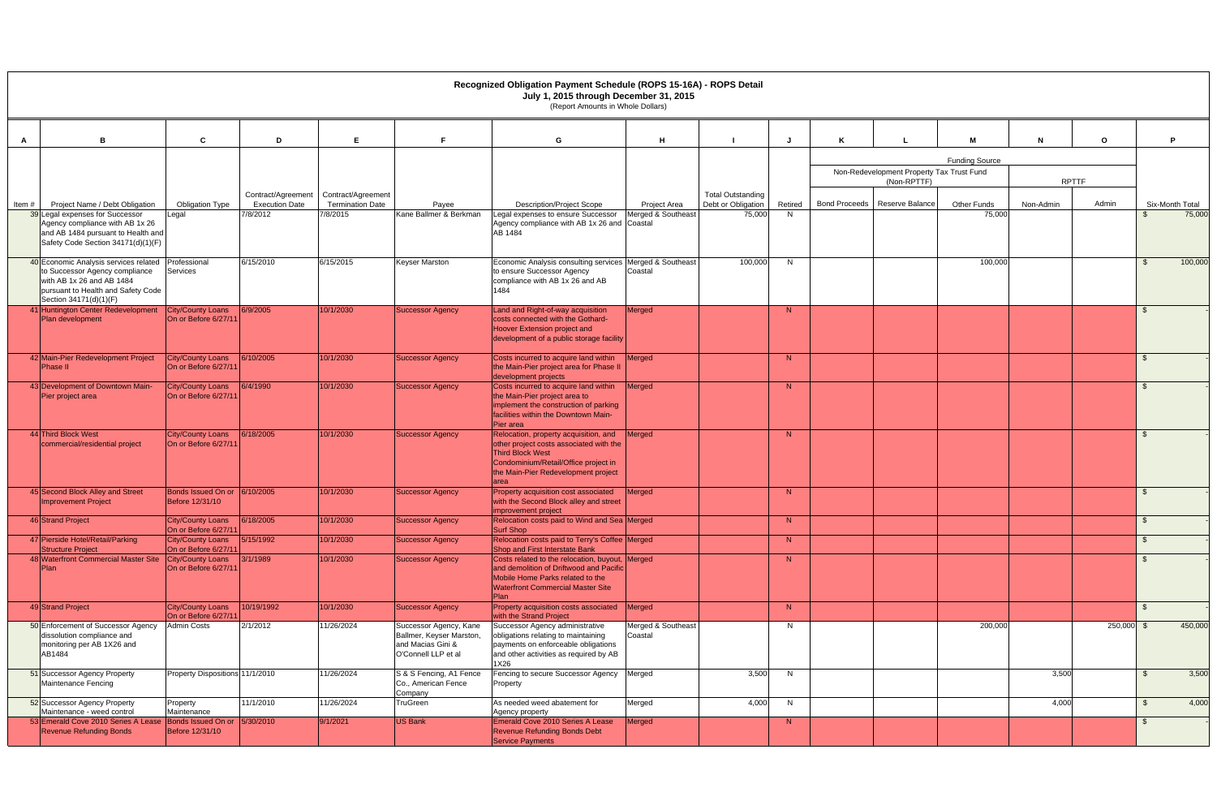|       |                                                                                                                                                                      |                                                  |                                             |                                               |                                                                                                | Recognized Obligation Payment Schedule (ROPS 15-16A) - ROPS Detail<br>July 1, 2015 through December 31, 2015<br>(Report Amounts in Whole Dollars)                                                  |                               |                                                |         |                                                          |                       |              |              |                 |
|-------|----------------------------------------------------------------------------------------------------------------------------------------------------------------------|--------------------------------------------------|---------------------------------------------|-----------------------------------------------|------------------------------------------------------------------------------------------------|----------------------------------------------------------------------------------------------------------------------------------------------------------------------------------------------------|-------------------------------|------------------------------------------------|---------|----------------------------------------------------------|-----------------------|--------------|--------------|-----------------|
|       |                                                                                                                                                                      |                                                  |                                             |                                               |                                                                                                |                                                                                                                                                                                                    |                               |                                                |         |                                                          | M                     |              |              | D               |
|       | <b>B</b>                                                                                                                                                             | C                                                | D                                           | F.                                            |                                                                                                | G                                                                                                                                                                                                  | н                             |                                                |         |                                                          |                       |              | $\mathbf{o}$ |                 |
|       |                                                                                                                                                                      |                                                  |                                             |                                               |                                                                                                |                                                                                                                                                                                                    |                               |                                                |         |                                                          | <b>Funding Source</b> |              |              |                 |
|       |                                                                                                                                                                      |                                                  |                                             |                                               |                                                                                                |                                                                                                                                                                                                    |                               |                                                |         | Non-Redevelopment Property Tax Trust Fund<br>(Non-RPTTF) |                       | <b>RPTTF</b> |              |                 |
| Item# | Project Name / Debt Obligation                                                                                                                                       | <b>Obligation Type</b>                           | Contract/Agreement<br><b>Execution Date</b> | Contract/Agreement<br><b>Termination Date</b> | Payee                                                                                          | <b>Description/Project Scope</b>                                                                                                                                                                   | <b>Project Area</b>           | <b>Total Outstanding</b><br>Debt or Obligation | Retired | Bond Proceeds   Reserve Balance                          | <b>Other Funds</b>    | Non-Admin    | Admin        | Six-Month Total |
|       | 9 Legal expenses for Successor<br>Agency compliance with AB 1x 26<br>and AB 1484 pursuant to Health and<br>Safety Code Section 34171(d)(1)(F)                        | Legal                                            | 7/8/2012                                    | 7/8/2015                                      | Kane Ballmer & Berkman                                                                         | Legal expenses to ensure Successor<br>Agency compliance with AB 1x 26 and Coastal<br>AB 1484                                                                                                       | Merged & Southeast            | 75,000                                         | N       |                                                          | 75,000                |              |              | 75,000          |
|       | 40 Economic Analysis services related<br>to Successor Agency compliance<br>with AB 1x 26 and AB 1484<br>pursuant to Health and Safety Code<br>Section 34171(d)(1)(F) | Professional<br>Services                         | 6/15/2010                                   | 6/15/2015                                     | <b>Keyser Marston</b>                                                                          | Economic Analysis consulting services Merged & Southeast<br>to ensure Successor Agency<br>compliance with AB 1x 26 and AB<br>1484                                                                  | Coastal                       | 100,000                                        | N       |                                                          | 100,000               |              |              | 100,000         |
|       | 41 Huntington Center Redevelopment<br>Plan development                                                                                                               | <b>City/County Loans</b><br>On or Before 6/27/11 | 6/9/2005                                    | 10/1/2030                                     | <b>Successor Agency</b>                                                                        | Land and Right-of-way acquisition<br>costs connected with the Gothard-<br>Hoover Extension project and<br>development of a public storage facility                                                 | Merged                        |                                                | N       |                                                          |                       |              |              |                 |
|       | 2 Main-Pier Redevelopment Project<br>Phase II                                                                                                                        | <b>City/County Loans</b><br>On or Before 6/27/11 | 6/10/2005                                   | 10/1/2030                                     | <b>Successor Agency</b>                                                                        | Costs incurred to acquire land within<br>the Main-Pier project area for Phase I<br>development projects                                                                                            | <b>Merged</b>                 |                                                | N       |                                                          |                       |              |              |                 |
|       | 43 Development of Downtown Main-<br>Pier project area                                                                                                                | <b>City/County Loans</b><br>On or Before 6/27/1  | 6/4/1990                                    | 10/1/2030                                     | <b>Successor Agency</b>                                                                        | Costs incurred to acquire land within<br>the Main-Pier project area to<br>implement the construction of parking<br>facilities within the Downtown Main-<br>Pier area                               | <b>Merged</b>                 |                                                | N       |                                                          |                       |              |              |                 |
|       | 44 Third Block West<br>commercial/residential project                                                                                                                | <b>City/County Loans</b><br>On or Before 6/27/11 | 6/18/2005                                   | 10/1/2030                                     | <b>Successor Agency</b>                                                                        | Relocation, property acquisition, and<br>other project costs associated with the<br><b>Third Block West</b><br>Condominium/Retail/Office project in<br>the Main-Pier Redevelopment project<br>area | <b>Merged</b>                 |                                                | N       |                                                          |                       |              |              |                 |
|       | 45 Second Block Alley and Street<br><b>Improvement Project</b>                                                                                                       | <b>Bonds Issued On or</b><br>Before 12/31/10     | 6/10/2005                                   | 10/1/2030                                     | <b>Successor Agency</b>                                                                        | Property acquisition cost associated<br>with the Second Block alley and street<br>improvement project                                                                                              | Merged                        |                                                | N       |                                                          |                       |              |              |                 |
|       | 46 Strand Project                                                                                                                                                    | City/County Loans<br>On or Before 6/27/11        | 6/18/2005                                   | 10/1/2030                                     | Successor Agency                                                                               | Relocation costs paid to Wind and Sea Merged<br>Surf Shop                                                                                                                                          |                               |                                                | N       |                                                          |                       |              |              |                 |
|       | 47 Pierside Hotel/Retail/Parking<br>Structure Project                                                                                                                | <b>City/County Loans</b><br>On or Before 6/27/11 | 5/15/1992                                   | 10/1/2030                                     | Successor Agency                                                                               | Relocation costs paid to Terry's Coffee Merged<br>Shop and First Interstate Bank                                                                                                                   |                               |                                                | N       |                                                          |                       |              |              | \$              |
|       | 48 Waterfront Commercial Master Site<br>Plan                                                                                                                         | City/County Loans<br>On or Before 6/27/11        | 3/1/1989                                    | 10/1/2030                                     | <b>Successor Agency</b>                                                                        | Costs related to the relocation, buyout, Merged<br>and demolition of Driftwood and Pacific<br>Mobile Home Parks related to the<br><b>Waterfront Commercial Master Site</b><br><b>Plan</b>          |                               |                                                | N       |                                                          |                       |              |              | \$              |
|       | 49 Strand Project                                                                                                                                                    | <b>City/County Loans</b><br>On or Before 6/27/11 | 10/19/1992                                  | 10/1/2030                                     | <b>Successor Agency</b>                                                                        | Property acquisition costs associated<br>with the Strand Project                                                                                                                                   | Merged                        |                                                | N       |                                                          |                       |              |              | -\$             |
|       | 50 Enforcement of Successor Agency<br>dissolution compliance and<br>monitoring per AB 1X26 and<br>AB1484                                                             | <b>Admin Costs</b>                               | 2/1/2012                                    | 11/26/2024                                    | Successor Agency, Kane<br>Ballmer, Keyser Marston,<br>and Macias Gini &<br>O'Connell LLP et al | Successor Agency administrative<br>obligations relating to maintaining<br>payments on enforceable obligations<br>and other activities as required by AB<br>1X26                                    | Merged & Southeast<br>Coastal |                                                | N       |                                                          | 200,000               |              | $250,000$ \$ | 450,000         |
|       | 51 Successor Agency Property<br>Maintenance Fencing                                                                                                                  | Property Dispositions 11/1/2010                  |                                             | 11/26/2024                                    | S & S Fencing, A1 Fence<br>Co., American Fence<br>Company                                      | Fencing to secure Successor Agency Merged<br>Property                                                                                                                                              |                               | 3,500                                          | N       |                                                          |                       | 3,500        |              | 3,500<br>-SS    |
|       | 52 Successor Agency Property<br>Maintenance - weed control                                                                                                           | Property<br>Maintenance                          | 11/1/2010                                   | 11/26/2024                                    | <b>TruGreen</b>                                                                                | As needed weed abatement for<br>Agency property                                                                                                                                                    | Merged                        | 4,000                                          | N       |                                                          |                       | 4,000        |              | 4,000<br>\$     |
|       | 53 Emerald Cove 2010 Series A Lease<br><b>Revenue Refunding Bonds</b>                                                                                                | Bonds Issued On or 5/30/2010<br>Before 12/31/10  |                                             | 9/1/2021                                      | <b>US Bank</b>                                                                                 | Emerald Cove 2010 Series A Lease<br>Revenue Refunding Bonds Debt<br><b>Service Payments</b>                                                                                                        | Merged                        |                                                | N       |                                                          |                       |              |              | \$.             |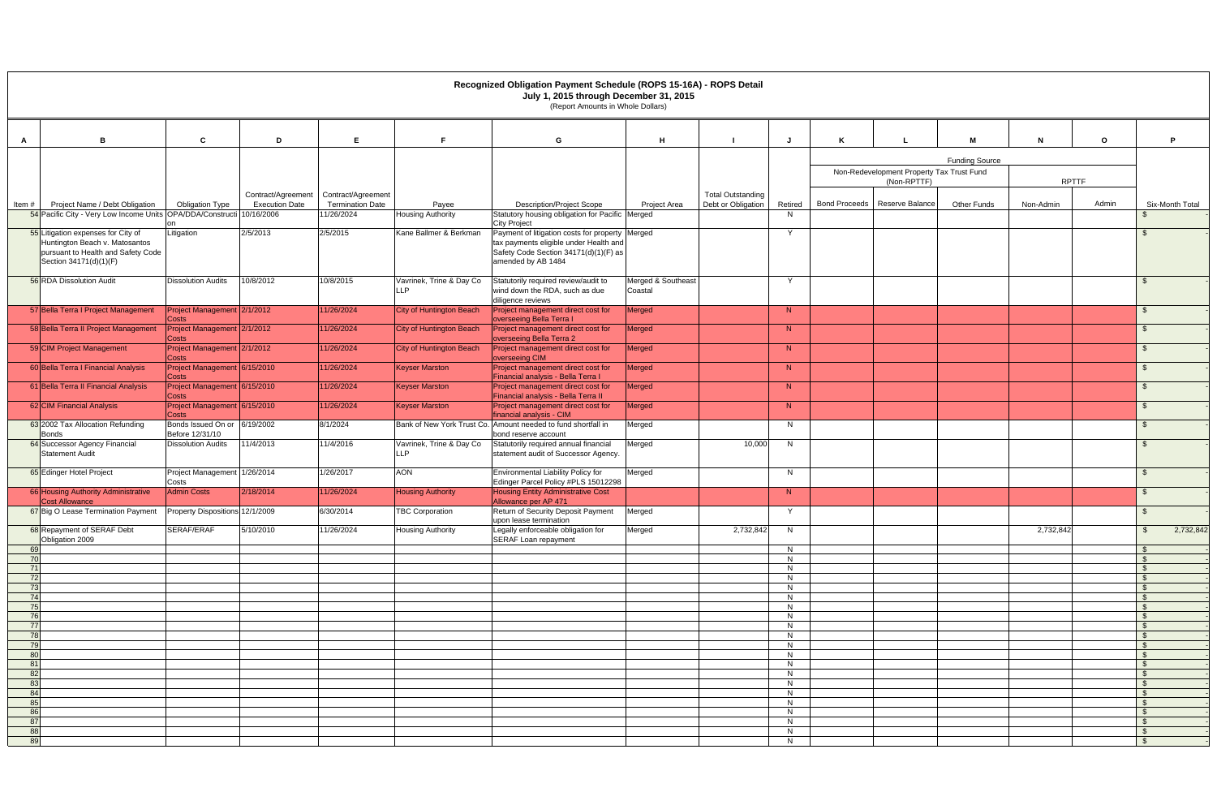|           |                                                                                                                                      |                                                 |                                     |                                       |                                        | Recognized Obligation Payment Schedule (ROPS 15-16A) - ROPS Detail<br>July 1, 2015 through December 31, 2015<br>(Report Amounts in Whole Dollars)        |                               |                          |              |                                           |                       |              |              |                 |
|-----------|--------------------------------------------------------------------------------------------------------------------------------------|-------------------------------------------------|-------------------------------------|---------------------------------------|----------------------------------------|----------------------------------------------------------------------------------------------------------------------------------------------------------|-------------------------------|--------------------------|--------------|-------------------------------------------|-----------------------|--------------|--------------|-----------------|
| A         | B                                                                                                                                    | C                                               | D                                   | E.                                    | Е                                      | G                                                                                                                                                        | H                             |                          |              |                                           |                       | N            | $\mathbf{o}$ | D               |
|           |                                                                                                                                      |                                                 |                                     |                                       |                                        |                                                                                                                                                          |                               |                          |              |                                           | <b>Funding Source</b> |              |              |                 |
|           |                                                                                                                                      |                                                 |                                     |                                       |                                        |                                                                                                                                                          |                               |                          |              | Non-Redevelopment Property Tax Trust Fund |                       |              |              |                 |
|           |                                                                                                                                      |                                                 |                                     |                                       |                                        |                                                                                                                                                          |                               |                          |              | (Non-RPTTF)                               |                       | <b>RPTTF</b> |              |                 |
|           |                                                                                                                                      |                                                 | Contract/Agreement                  | Contract/Agreement                    |                                        |                                                                                                                                                          |                               | <b>Total Outstanding</b> |              |                                           |                       |              |              |                 |
| Item#     | Project Name / Debt Obligation<br>54 Pacific City - Very Low Income Units                                                            | <b>Obligation Type</b><br>OPA/DDA/Constructi    | <b>Execution Date</b><br>10/16/2006 | <b>Termination Date</b><br>11/26/2024 | Payee<br><b>Housing Authority</b>      | <b>Description/Project Scope</b><br>Statutory housing obligation for Pacific Merged                                                                      | <b>Project Area</b>           | Debt or Obligation       | Retired<br>N | Bond Proceeds   Reserve Balance           | Other Funds           | Non-Admin    | Admin        | Six-Month Total |
|           |                                                                                                                                      |                                                 |                                     |                                       |                                        | <b>City Project</b>                                                                                                                                      |                               |                          |              |                                           |                       |              |              |                 |
|           | 55 Litigation expenses for City of<br>Huntington Beach v. Matosantos<br>pursuant to Health and Safety Code<br>Section 34171(d)(1)(F) | Litigation                                      | 2/5/2013                            | 2/5/2015                              | Kane Ballmer & Berkman                 | Payment of litigation costs for property Merged<br>tax payments eligible under Health and<br>Safety Code Section 34171(d)(1)(F) as<br>amended by AB 1484 |                               |                          | Y            |                                           |                       |              |              |                 |
|           | 56 RDA Dissolution Audit                                                                                                             | <b>Dissolution Audits</b>                       | 10/8/2012                           | 10/8/2015                             | Vavrinek, Trine & Day Co<br>LLP        | Statutorily required review/audit to<br>wind down the RDA, such as due<br>diligence reviews                                                              | Merged & Southeast<br>Coastal |                          | Y            |                                           |                       |              |              |                 |
|           | 57 Bella Terra I Project Management                                                                                                  | Project Management 2/1/2012<br>Costs            |                                     | 11/26/2024                            | City of Huntington Beach               | Project management direct cost for<br>overseeing Bella Terra I                                                                                           | Merged                        |                          | N            |                                           |                       |              |              | \$              |
|           | 58 Bella Terra II Project Management                                                                                                 | Project Management 2/1/2012<br>Costs            |                                     | 11/26/2024                            | City of Huntington Beach               | Project management direct cost for<br>overseeing Bella Terra 2                                                                                           | Merged                        |                          | N            |                                           |                       |              |              | \$              |
|           | 59 CIM Project Management                                                                                                            | Project Management 2/1/2012<br>Costs            |                                     | 11/26/2024                            | <b>City of Huntington Beach</b>        | Project management direct cost for<br>overseeing CIM                                                                                                     | Merged                        |                          | N            |                                           |                       |              |              | \$              |
|           | 60 Bella Terra I Financial Analysis                                                                                                  | Project Management 6/15/2010<br>Costs           |                                     | 11/26/2024                            | <b>Keyser Marston</b>                  | Project management direct cost for<br>Financial analysis - Bella Terra I                                                                                 | Merged                        |                          | N            |                                           |                       |              |              | \$.             |
|           | 61 Bella Terra II Financial Analysis                                                                                                 | Project Management 6/15/2010<br>Costs           |                                     | 11/26/2024                            | Keyser Marston                         | Project management direct cost for<br>Financial analysis - Bella Terra II                                                                                | Merged                        |                          | N            |                                           |                       |              |              |                 |
|           | 62 CIM Financial Analysis                                                                                                            | Project Management 6/15/2010<br>Costs           |                                     | 11/26/2024                            | <b>Keyser Marston</b>                  | Project management direct cost for<br>financial analysis - CIM                                                                                           | Merged                        |                          | N            |                                           |                       |              |              |                 |
|           | 63 2002 Tax Allocation Refunding<br>Bonds                                                                                            | Bonds Issued On or 6/19/2002<br>Before 12/31/10 |                                     | 8/1/2024                              |                                        | Bank of New York Trust Co. Amount needed to fund shortfall in<br>bond reserve account                                                                    | Merged                        |                          | N            |                                           |                       |              |              | -S              |
|           | 64 Successor Agency Financial<br><b>Statement Audit</b>                                                                              | <b>Dissolution Audits</b>                       | 11/4/2013                           | 11/4/2016                             | Vavrinek, Trine & Day Co<br><b>LLP</b> | Statutorily required annual financial<br>statement audit of Successor Agency.                                                                            | Merged                        | 10,000                   | N            |                                           |                       |              |              | $\mathfrak{L}$  |
|           | 65 Edinger Hotel Project                                                                                                             | Project Management 1/26/2014<br>Costs           |                                     | 1/26/2017                             | <b>AON</b>                             | Environmental Liability Policy for<br>Edinger Parcel Policy #PLS 15012298                                                                                | Merged                        |                          | N            |                                           |                       |              |              | -S              |
|           | 66 Housing Authority Administrative<br><b>Cost Allowance</b>                                                                         | <b>Admin Costs</b>                              | 2/18/2014                           | 11/26/2024                            | <b>Housing Authority</b>               | <b>Housing Entity Administrative Cost</b><br>Allowance per AP 471                                                                                        |                               |                          | N            |                                           |                       |              |              | - \$            |
|           | 67 Big O Lease Termination Payment Property Dispositions 12/1/2009                                                                   |                                                 |                                     | 6/30/2014                             | <b>TBC Corporation</b>                 | Return of Security Deposit Payment<br>upon lease termination                                                                                             | Merged                        |                          | Y.           |                                           |                       |              |              |                 |
|           | 68 Repayment of SERAF Debt<br>Obligation 2009                                                                                        | SERAF/ERAF                                      | 5/10/2010                           | 11/26/2024                            | <b>Housing Authority</b>               | Legally enforceable obligation for<br>SERAF Loan repayment                                                                                               | Merged                        | 2,732,842                | N            |                                           |                       | 2,732,842    |              | 2,732,842       |
| 69<br>70  |                                                                                                                                      |                                                 |                                     |                                       |                                        |                                                                                                                                                          |                               |                          | N<br>N       |                                           |                       |              |              |                 |
| 71        |                                                                                                                                      |                                                 |                                     |                                       |                                        |                                                                                                                                                          |                               |                          | N            |                                           |                       |              |              |                 |
| 72        |                                                                                                                                      |                                                 |                                     |                                       |                                        |                                                                                                                                                          |                               |                          | N            |                                           |                       |              |              |                 |
| 73<br>74  |                                                                                                                                      |                                                 |                                     |                                       |                                        |                                                                                                                                                          |                               |                          | N<br>N       |                                           |                       |              |              | \$              |
| 75        |                                                                                                                                      |                                                 |                                     |                                       |                                        |                                                                                                                                                          |                               |                          | N            |                                           |                       |              |              | -S              |
| 76        |                                                                                                                                      |                                                 |                                     |                                       |                                        |                                                                                                                                                          |                               |                          | N.<br>N      |                                           |                       |              |              |                 |
| 78        |                                                                                                                                      |                                                 |                                     |                                       |                                        |                                                                                                                                                          |                               |                          | N            |                                           |                       |              |              |                 |
| 79<br>80  |                                                                                                                                      |                                                 |                                     |                                       |                                        |                                                                                                                                                          |                               |                          | N<br>N       |                                           |                       |              |              | \$              |
| 8'        |                                                                                                                                      |                                                 |                                     |                                       |                                        |                                                                                                                                                          |                               |                          | N            |                                           |                       |              |              |                 |
| 82<br>83  |                                                                                                                                      |                                                 |                                     |                                       |                                        |                                                                                                                                                          |                               |                          | N<br>N       |                                           |                       |              |              |                 |
| 84        |                                                                                                                                      |                                                 |                                     |                                       |                                        |                                                                                                                                                          |                               |                          | N            |                                           |                       |              |              |                 |
| 85        |                                                                                                                                      |                                                 |                                     |                                       |                                        |                                                                                                                                                          |                               |                          | N            |                                           |                       |              |              |                 |
| 86<br>-87 |                                                                                                                                      |                                                 |                                     |                                       |                                        |                                                                                                                                                          |                               |                          | N<br>N       |                                           |                       |              |              |                 |
| 88        |                                                                                                                                      |                                                 |                                     |                                       |                                        |                                                                                                                                                          |                               |                          | N            |                                           |                       |              |              | -\$             |
| 89        |                                                                                                                                      |                                                 |                                     |                                       |                                        |                                                                                                                                                          |                               |                          | N            |                                           |                       |              |              |                 |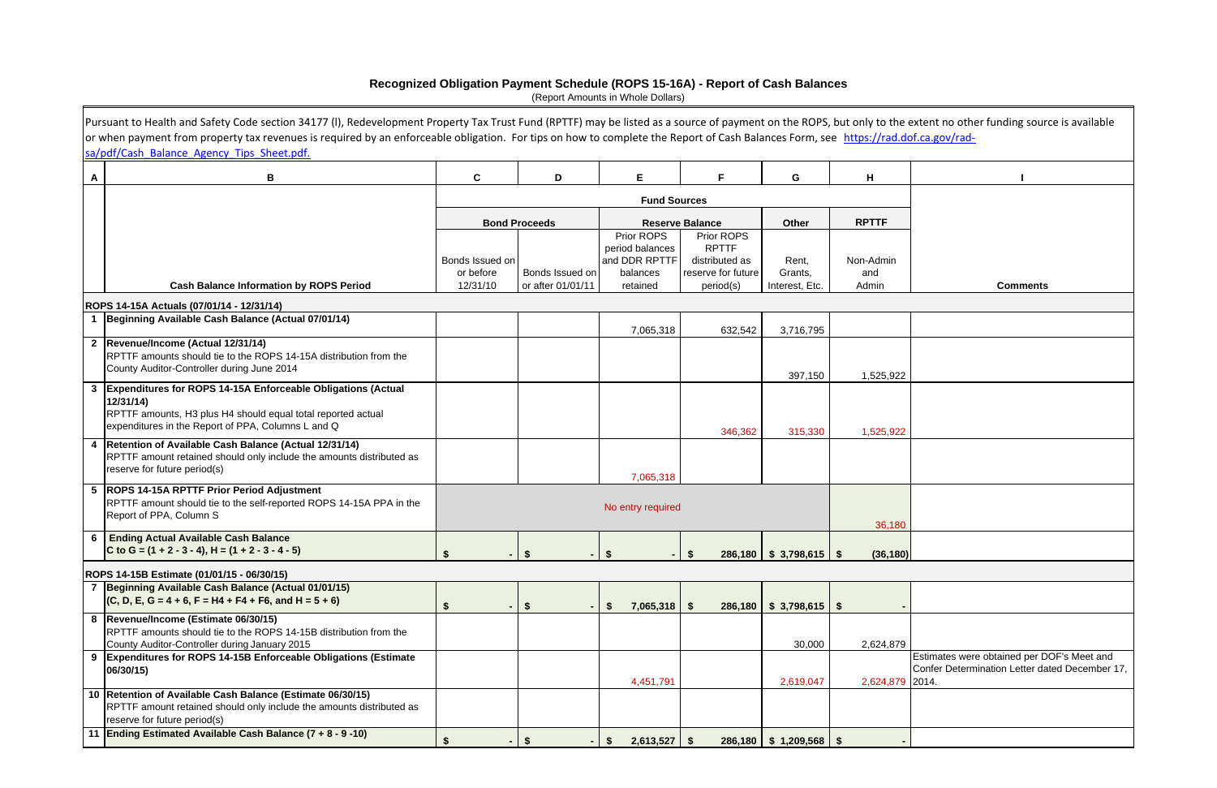|   | Pursuant to Health and Safety Code section 34177 (I), Redevelopment Property Tax Trust Fund (RPTTF) may be listed as a source of payment on the ROPS, but only to the extent no other funding source is available<br>or when payment from property tax revenues is required by an enforceable obligation. For tips on how to complete the Report of Cash Balances Form, see https://rad.dof.ca.gov/rad-<br>sa/pdf/Cash Balance Agency Tips Sheet.pdf. |                            |                                      |                                |                                 |                           |                 |                                                |
|---|-------------------------------------------------------------------------------------------------------------------------------------------------------------------------------------------------------------------------------------------------------------------------------------------------------------------------------------------------------------------------------------------------------------------------------------------------------|----------------------------|--------------------------------------|--------------------------------|---------------------------------|---------------------------|-----------------|------------------------------------------------|
| A | В                                                                                                                                                                                                                                                                                                                                                                                                                                                     | $\mathbf c$                | D                                    | Е                              | F                               | G                         | H               |                                                |
|   |                                                                                                                                                                                                                                                                                                                                                                                                                                                       |                            |                                      | <b>Fund Sources</b>            |                                 |                           |                 |                                                |
|   |                                                                                                                                                                                                                                                                                                                                                                                                                                                       |                            | <b>Bond Proceeds</b>                 |                                | <b>Reserve Balance</b>          | Other                     | <b>RPTTF</b>    |                                                |
|   |                                                                                                                                                                                                                                                                                                                                                                                                                                                       |                            |                                      | Prior ROPS<br>period balances  | Prior ROPS<br><b>RPTTF</b>      |                           |                 |                                                |
|   |                                                                                                                                                                                                                                                                                                                                                                                                                                                       | Bonds Issued on            |                                      | and DDR RPTTF                  | distributed as                  | Rent,                     | Non-Admin       |                                                |
|   | <b>Cash Balance Information by ROPS Period</b>                                                                                                                                                                                                                                                                                                                                                                                                        | or before<br>12/31/10      | Bonds Issued on<br>or after 01/01/11 | balances<br>retained           | reserve for future<br>period(s) | Grants,<br>Interest, Etc. | and<br>Admin    | <b>Comments</b>                                |
|   |                                                                                                                                                                                                                                                                                                                                                                                                                                                       |                            |                                      |                                |                                 |                           |                 |                                                |
|   | ROPS 14-15A Actuals (07/01/14 - 12/31/14)<br>Beginning Available Cash Balance (Actual 07/01/14)                                                                                                                                                                                                                                                                                                                                                       |                            |                                      |                                |                                 |                           |                 |                                                |
|   |                                                                                                                                                                                                                                                                                                                                                                                                                                                       |                            |                                      | 7,065,318                      | 632,542                         | 3,716,795                 |                 |                                                |
|   | 2 Revenue/Income (Actual 12/31/14)<br>RPTTF amounts should tie to the ROPS 14-15A distribution from the                                                                                                                                                                                                                                                                                                                                               |                            |                                      |                                |                                 |                           |                 |                                                |
|   | County Auditor-Controller during June 2014                                                                                                                                                                                                                                                                                                                                                                                                            |                            |                                      |                                |                                 | 397,150                   | 1,525,922       |                                                |
| 3 | <b>Expenditures for ROPS 14-15A Enforceable Obligations (Actual</b>                                                                                                                                                                                                                                                                                                                                                                                   |                            |                                      |                                |                                 |                           |                 |                                                |
|   | 12/31/14<br>RPTTF amounts, H3 plus H4 should equal total reported actual                                                                                                                                                                                                                                                                                                                                                                              |                            |                                      |                                |                                 |                           |                 |                                                |
|   | expenditures in the Report of PPA, Columns L and Q                                                                                                                                                                                                                                                                                                                                                                                                    |                            |                                      |                                | 346,362                         | 315,330                   | 1,525,922       |                                                |
| 4 | Retention of Available Cash Balance (Actual 12/31/14)                                                                                                                                                                                                                                                                                                                                                                                                 |                            |                                      |                                |                                 |                           |                 |                                                |
|   | RPTTF amount retained should only include the amounts distributed as<br>reserve for future period(s)                                                                                                                                                                                                                                                                                                                                                  |                            |                                      | 7,065,318                      |                                 |                           |                 |                                                |
|   | 5  ROPS 14-15A RPTTF Prior Period Adjustment                                                                                                                                                                                                                                                                                                                                                                                                          |                            |                                      |                                |                                 |                           |                 |                                                |
|   | RPTTF amount should tie to the self-reported ROPS 14-15A PPA in the<br>Report of PPA, Column S                                                                                                                                                                                                                                                                                                                                                        |                            |                                      | No entry required              |                                 |                           |                 |                                                |
|   |                                                                                                                                                                                                                                                                                                                                                                                                                                                       |                            |                                      |                                |                                 |                           | 36,180          |                                                |
| 6 | <b>Ending Actual Available Cash Balance</b><br>C to G = $(1 + 2 - 3 - 4)$ , H = $(1 + 2 - 3 - 4 - 5)$                                                                                                                                                                                                                                                                                                                                                 |                            |                                      |                                |                                 |                           |                 |                                                |
|   |                                                                                                                                                                                                                                                                                                                                                                                                                                                       | $\frac{2}{3}$              | -13                                  | $-1$ \$                        | $-1$ \$                         | $286,180$ \$ 3,798,615 \$ | (36, 180)       |                                                |
|   | ROPS 14-15B Estimate (01/01/15 - 06/30/15)<br>7 Beginning Available Cash Balance (Actual 01/01/15)                                                                                                                                                                                                                                                                                                                                                    |                            |                                      |                                |                                 |                           |                 |                                                |
|   | $ $ (C, D, E, G = 4 + 6, F = H4 + F4 + F6, and H = 5 + 6)                                                                                                                                                                                                                                                                                                                                                                                             | <b>S</b><br>$\blacksquare$ | \$                                   | $7,065,318$ \$<br>$\mathbf{s}$ |                                 | $286,180$ \$ 3,798,615 \$ |                 |                                                |
|   | 8 Revenue/Income (Estimate 06/30/15)                                                                                                                                                                                                                                                                                                                                                                                                                  |                            |                                      |                                |                                 |                           |                 |                                                |
|   | RPTTF amounts should tie to the ROPS 14-15B distribution from the<br>County Auditor-Controller during January 2015                                                                                                                                                                                                                                                                                                                                    |                            |                                      |                                |                                 | 30,000                    | 2,624,879       |                                                |
| 9 | <b>Expenditures for ROPS 14-15B Enforceable Obligations (Estimate)</b>                                                                                                                                                                                                                                                                                                                                                                                |                            |                                      |                                |                                 |                           |                 | Estimates were obtained per DOF's Meet and     |
|   | 06/30/15)                                                                                                                                                                                                                                                                                                                                                                                                                                             |                            |                                      | 4,451,791                      |                                 | 2,619,047                 | 2,624,879 2014. | Confer Determination Letter dated December 17, |
|   | 10 Retention of Available Cash Balance (Estimate 06/30/15)                                                                                                                                                                                                                                                                                                                                                                                            |                            |                                      |                                |                                 |                           |                 |                                                |
|   | RPTTF amount retained should only include the amounts distributed as<br>reserve for future period(s)                                                                                                                                                                                                                                                                                                                                                  |                            |                                      |                                |                                 |                           |                 |                                                |
|   | 11 Ending Estimated Available Cash Balance (7 + 8 - 9 -10)                                                                                                                                                                                                                                                                                                                                                                                            | $\mathbf{\hat{z}}$         |                                      | $2,613,527$ \$<br>Ŝ.           |                                 | $286,180$ \$ 1,209,568 \$ |                 |                                                |

## **Recognized Obligation Payment Schedule (ROPS 15-16A) - Report of Cash Balances**

(Report Amounts in Whole Dollars)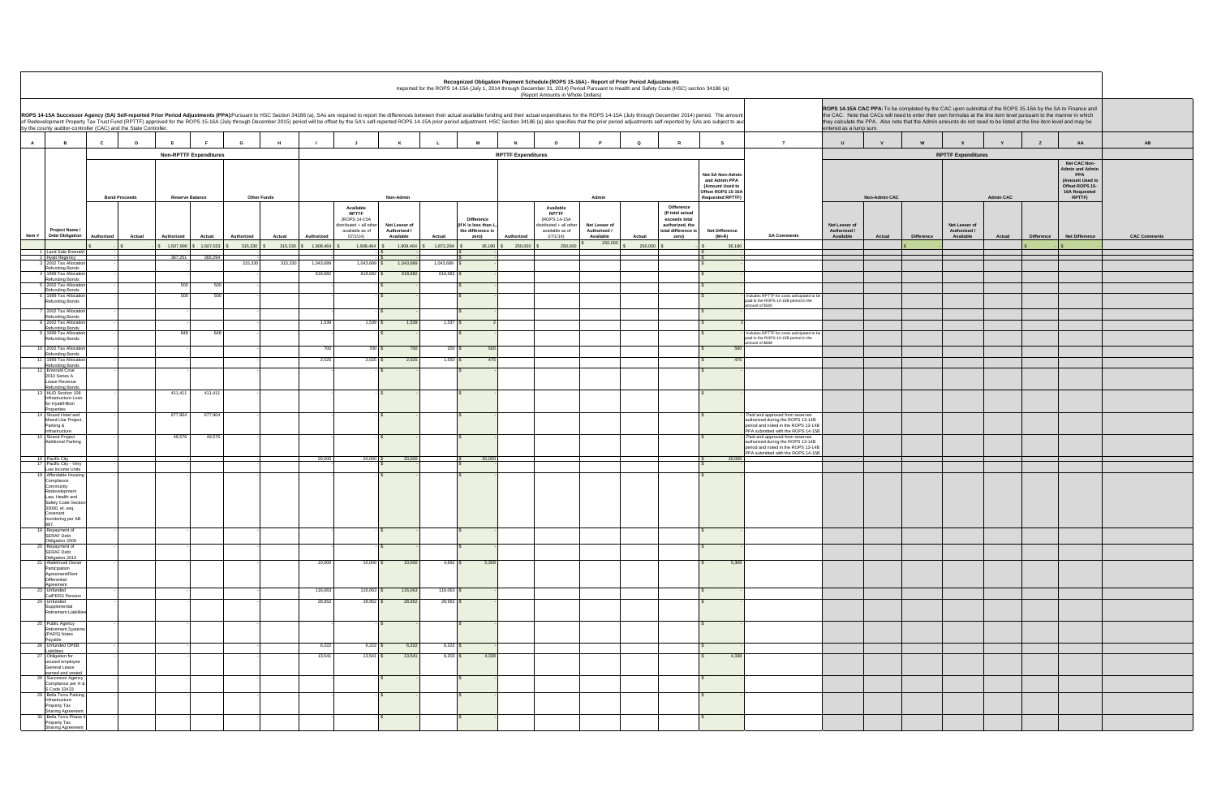|                                                                                                          | ROPS 14-15A CAC PPA: To be completed by the CAC upon submittal of the ROPS 15-16A by the SA to Finance and<br>the CAC. Note that CACs will need to enter their own formulas at the line item level pursuant to the manner in which<br>they calculate the PPA. Also note that the Admin amounts do not need to be listed at the line item level and may be<br>entered as a lump sum. |               |                   |                                            |                  |                   |                                                                                                                |                     |
|----------------------------------------------------------------------------------------------------------|-------------------------------------------------------------------------------------------------------------------------------------------------------------------------------------------------------------------------------------------------------------------------------------------------------------------------------------------------------------------------------------|---------------|-------------------|--------------------------------------------|------------------|-------------------|----------------------------------------------------------------------------------------------------------------|---------------------|
| т                                                                                                        | $\sf U$                                                                                                                                                                                                                                                                                                                                                                             | $\mathsf{v}$  | ${\bf W}$         | X                                          | Y                | $\mathsf{z}$      | AA                                                                                                             | AB                  |
|                                                                                                          |                                                                                                                                                                                                                                                                                                                                                                                     |               |                   | <b>RPTTF Expenditures</b>                  |                  |                   |                                                                                                                |                     |
|                                                                                                          |                                                                                                                                                                                                                                                                                                                                                                                     | Non-Admin CAC |                   |                                            | <b>Admin CAC</b> |                   | Net CAC Non-<br><b>Admin and Admin</b><br>PPA<br>(Amount Used to<br>Offset ROPS 15-<br>16A Requested<br>RPTTF) |                     |
| <b>SA Comments</b>                                                                                       | Net Lesser of<br>Authorized /<br>Available                                                                                                                                                                                                                                                                                                                                          | Actual        | <b>Difference</b> | Net Lesser of<br>Authorized /<br>Available | Actual           | <b>Difference</b> | <b>Net Difference</b>                                                                                          | <b>CAC Comments</b> |
|                                                                                                          |                                                                                                                                                                                                                                                                                                                                                                                     |               | \$                |                                            |                  | $\mathsf{s}$      | $\mathsf{s}$                                                                                                   |                     |
|                                                                                                          |                                                                                                                                                                                                                                                                                                                                                                                     |               |                   |                                            |                  |                   |                                                                                                                |                     |
|                                                                                                          |                                                                                                                                                                                                                                                                                                                                                                                     |               |                   |                                            |                  |                   |                                                                                                                |                     |
|                                                                                                          |                                                                                                                                                                                                                                                                                                                                                                                     |               |                   |                                            |                  |                   |                                                                                                                |                     |
| TTF for costs anticipated to be<br>OPS 14-15B period in the<br>00                                        |                                                                                                                                                                                                                                                                                                                                                                                     |               |                   |                                            |                  |                   |                                                                                                                |                     |
|                                                                                                          |                                                                                                                                                                                                                                                                                                                                                                                     |               |                   |                                            |                  |                   |                                                                                                                |                     |
| TTF for costs anticipated to be<br>OPS 14-15B period in the<br>148                                       |                                                                                                                                                                                                                                                                                                                                                                                     |               |                   |                                            |                  |                   |                                                                                                                |                     |
|                                                                                                          |                                                                                                                                                                                                                                                                                                                                                                                     |               |                   |                                            |                  |                   |                                                                                                                |                     |
|                                                                                                          |                                                                                                                                                                                                                                                                                                                                                                                     |               |                   |                                            |                  |                   |                                                                                                                |                     |
|                                                                                                          |                                                                                                                                                                                                                                                                                                                                                                                     |               |                   |                                            |                  |                   |                                                                                                                |                     |
|                                                                                                          |                                                                                                                                                                                                                                                                                                                                                                                     |               |                   |                                            |                  |                   |                                                                                                                |                     |
| pproved from reserves<br>during the ROPS 13-14B<br>noted in the ROPS 13-14B<br>tted with the ROPS 14-15B |                                                                                                                                                                                                                                                                                                                                                                                     |               |                   |                                            |                  |                   |                                                                                                                |                     |
| pproved from reserves<br>during the ROPS 13-14B<br>noted in the ROPS 13-14B<br>tted with the ROPS 14-15B |                                                                                                                                                                                                                                                                                                                                                                                     |               |                   |                                            |                  |                   |                                                                                                                |                     |
|                                                                                                          |                                                                                                                                                                                                                                                                                                                                                                                     |               |                   |                                            |                  |                   |                                                                                                                |                     |
|                                                                                                          |                                                                                                                                                                                                                                                                                                                                                                                     |               |                   |                                            |                  |                   |                                                                                                                |                     |
|                                                                                                          |                                                                                                                                                                                                                                                                                                                                                                                     |               |                   |                                            |                  |                   |                                                                                                                |                     |
|                                                                                                          |                                                                                                                                                                                                                                                                                                                                                                                     |               |                   |                                            |                  |                   |                                                                                                                |                     |
|                                                                                                          |                                                                                                                                                                                                                                                                                                                                                                                     |               |                   |                                            |                  |                   |                                                                                                                |                     |
|                                                                                                          |                                                                                                                                                                                                                                                                                                                                                                                     |               |                   |                                            |                  |                   |                                                                                                                |                     |
|                                                                                                          |                                                                                                                                                                                                                                                                                                                                                                                     |               |                   |                                            |                  |                   |                                                                                                                |                     |
|                                                                                                          |                                                                                                                                                                                                                                                                                                                                                                                     |               |                   |                                            |                  |                   |                                                                                                                |                     |
|                                                                                                          |                                                                                                                                                                                                                                                                                                                                                                                     |               |                   |                                            |                  |                   |                                                                                                                |                     |
|                                                                                                          |                                                                                                                                                                                                                                                                                                                                                                                     |               |                   |                                            |                  |                   |                                                                                                                |                     |
|                                                                                                          |                                                                                                                                                                                                                                                                                                                                                                                     |               |                   |                                            |                  |                   |                                                                                                                |                     |
|                                                                                                          |                                                                                                                                                                                                                                                                                                                                                                                     |               |                   |                                            |                  |                   |                                                                                                                |                     |
|                                                                                                          |                                                                                                                                                                                                                                                                                                                                                                                     |               |                   |                                            |                  |                   |                                                                                                                |                     |

|                |                                                                                                                                                                 |              |                      |                        |                                        |                       |                   |                         |                                                                            |                               |                                     |                                                                 |                                       | Reported for the ROPS 14-15A (July 1, 2014 through December 31, 2014) Period Pursuant to Health and Safety Code (HSC) section 34186 (a)<br>(Report Amounts in Whole Dollars)                                                                                                                                                                                                                                                                                     |                               |                   |                                                         |                                                                                                       |                                                                                                             |                               |                      |                   | ROPS 14-15A CAC PPA: To be completed by the CAC upon submittal of the ROPS 15-16A by the SA to Finance and                                                                                                                                  |                  |                   |                                                                                                                |                |
|----------------|-----------------------------------------------------------------------------------------------------------------------------------------------------------------|--------------|----------------------|------------------------|----------------------------------------|-----------------------|-------------------|-------------------------|----------------------------------------------------------------------------|-------------------------------|-------------------------------------|-----------------------------------------------------------------|---------------------------------------|------------------------------------------------------------------------------------------------------------------------------------------------------------------------------------------------------------------------------------------------------------------------------------------------------------------------------------------------------------------------------------------------------------------------------------------------------------------|-------------------------------|-------------------|---------------------------------------------------------|-------------------------------------------------------------------------------------------------------|-------------------------------------------------------------------------------------------------------------|-------------------------------|----------------------|-------------------|---------------------------------------------------------------------------------------------------------------------------------------------------------------------------------------------------------------------------------------------|------------------|-------------------|----------------------------------------------------------------------------------------------------------------|----------------|
|                | by the county auditor-controller (CAC) and the State Controller.                                                                                                |              |                      |                        |                                        |                       |                   |                         |                                                                            |                               |                                     |                                                                 |                                       | ROPS 14-15A Successor Agency (SA) Self-reported Prior Period Adjustments (PPA):Pursuant to HSC Section 34186 (a), SAs are required to report the differences between their actual available funding and their actual expenditu<br>of Redevelopment Property Tax Trust Fund (RPTTF) approved for the ROPS 15-16A (July through December 2015) period will be offset by the SA's self-reported ROPS 14-15A prior period adjustment. HSC Section 34186 (a) also spe |                               |                   |                                                         |                                                                                                       |                                                                                                             | entered as a lump sum.        |                      |                   | the CAC. Note that CACs will need to enter their own formulas at the line item level pursuant to the manner in which<br>they calculate the PPA. Also note that the Admin amounts do not need to be listed at the line item level and may be |                  |                   |                                                                                                                |                |
| $\overline{A}$ | $\overline{B}$                                                                                                                                                  | $\mathbf{c}$ | D                    | E                      |                                        | G                     | H                 |                         |                                                                            | K                             | L.                                  |                                                                 |                                       | $\circ$                                                                                                                                                                                                                                                                                                                                                                                                                                                          |                               | $\Omega$          |                                                         | s                                                                                                     | T                                                                                                           | <b>U</b>                      |                      |                   |                                                                                                                                                                                                                                             |                  | $\mathbf{z}$      | AA                                                                                                             | AB             |
|                |                                                                                                                                                                 |              |                      |                        | <b>Non-RPTTF Expenditures</b>          |                       |                   |                         |                                                                            |                               |                                     |                                                                 | <b>RPTTF Expenditures</b>             |                                                                                                                                                                                                                                                                                                                                                                                                                                                                  |                               |                   |                                                         |                                                                                                       |                                                                                                             |                               |                      |                   | <b>RPTTF Expenditures</b>                                                                                                                                                                                                                   |                  |                   |                                                                                                                |                |
|                |                                                                                                                                                                 |              | <b>Bond Proceeds</b> | <b>Reserve Balance</b> |                                        | <b>Other Funds</b>    |                   |                         |                                                                            | Non-Admin                     |                                     |                                                                 |                                       |                                                                                                                                                                                                                                                                                                                                                                                                                                                                  | Admin                         |                   |                                                         | Net SA Non-Admin<br>and Admin PPA<br>(Amount Used to<br>Offset ROPS 15-16A<br><b>Requested RPTTF)</b> |                                                                                                             |                               | <b>Non-Admin CAC</b> |                   |                                                                                                                                                                                                                                             | <b>Admin CAC</b> |                   | Net CAC Non-<br><b>Admin and Admin</b><br>PPA<br>(Amount Used to<br>Offset ROPS 15-<br>16A Requested<br>RPTTF) |                |
|                |                                                                                                                                                                 |              |                      |                        |                                        |                       |                   |                         | Available                                                                  |                               |                                     |                                                                 |                                       | Available                                                                                                                                                                                                                                                                                                                                                                                                                                                        |                               |                   | <b>Difference</b><br>(If total actual                   |                                                                                                       |                                                                                                             |                               |                      |                   |                                                                                                                                                                                                                                             |                  |                   |                                                                                                                |                |
|                | Project Name /                                                                                                                                                  |              |                      |                        |                                        |                       |                   |                         | <b>RPTTF</b><br>(ROPS 14-15A<br>distributed + all other<br>available as of | Net Lesser of<br>Authorized / |                                     | <b>Difference</b><br>(If K is less than L,<br>the difference is |                                       | <b>RPTTF</b><br>(ROPS 14-15A<br>distributed + all other<br>available as of                                                                                                                                                                                                                                                                                                                                                                                       | Net Lesser of<br>Authorized / |                   | exceeds total<br>authorized, the<br>total difference is | <b>Net Difference</b>                                                                                 |                                                                                                             | Net Lesser of<br>Authorized / |                      |                   | Net Lesser of<br>Authorized /                                                                                                                                                                                                               |                  |                   |                                                                                                                |                |
| Item#          | <b>Debt Obligation</b>                                                                                                                                          | Authorized   | Actual               | Authorized             | Actual<br>$$1,507,990$ $$1,507,033$ \$ | Authorized<br>315,330 | Actual<br>315,330 | Authorized<br>1,908,464 | 07/1/14<br>1,908,464                                                       | Available<br>1,908,464        | Actual<br>1.872.284                 | zero)<br>36,180                                                 | Authorized<br>250,000<br>$\mathbf{s}$ | 07/1/14)<br>250,000                                                                                                                                                                                                                                                                                                                                                                                                                                              | Available<br>250,000          | Actual<br>250,000 | zero)                                                   | $(M+R)$<br>36,180                                                                                     | <b>SA Comments</b>                                                                                          | Available                     | Actual               | <b>Difference</b> | Available                                                                                                                                                                                                                                   | Actual           | <b>Difference</b> | <b>Net Difference</b>                                                                                          | <b>CAC Com</b> |
|                | 1 Land Sale Emeral<br>Hyatt Regency                                                                                                                             |              |                      | 367,251                | 366,294                                |                       |                   |                         |                                                                            |                               |                                     |                                                                 |                                       |                                                                                                                                                                                                                                                                                                                                                                                                                                                                  |                               |                   |                                                         |                                                                                                       |                                                                                                             |                               |                      |                   |                                                                                                                                                                                                                                             |                  |                   |                                                                                                                |                |
|                | 3 2002 Tax Allocatio<br>Refunding Bonds                                                                                                                         |              |                      |                        |                                        | 315,330               | 315,330           | 1,043,689               | 1,043,689                                                                  | 1,043,689                     | 1,043,689                           |                                                                 |                                       |                                                                                                                                                                                                                                                                                                                                                                                                                                                                  |                               |                   |                                                         |                                                                                                       |                                                                                                             |                               |                      |                   |                                                                                                                                                                                                                                             |                  |                   |                                                                                                                |                |
|                | 1999 Tax Allocation<br>Refunding Bonds                                                                                                                          |              |                      |                        |                                        |                       |                   | 618,682                 | $618,682$ \$                                                               | 618,682                       | 618,682                             |                                                                 |                                       |                                                                                                                                                                                                                                                                                                                                                                                                                                                                  |                               |                   |                                                         |                                                                                                       |                                                                                                             |                               |                      |                   |                                                                                                                                                                                                                                             |                  |                   |                                                                                                                |                |
|                | 5 2002 Tax Allocation<br>Refunding Bonds<br>6 1999 Tax Allocation                                                                                               |              |                      | 500<br>500             | 500<br>500                             |                       |                   |                         |                                                                            |                               |                                     |                                                                 |                                       |                                                                                                                                                                                                                                                                                                                                                                                                                                                                  |                               |                   |                                                         |                                                                                                       | Includes RPTTF for costs anticipated to be                                                                  |                               |                      |                   |                                                                                                                                                                                                                                             |                  |                   |                                                                                                                |                |
|                | Refunding Bonds                                                                                                                                                 |              |                      |                        |                                        |                       |                   |                         |                                                                            |                               |                                     |                                                                 |                                       |                                                                                                                                                                                                                                                                                                                                                                                                                                                                  |                               |                   |                                                         |                                                                                                       | paid in the ROPS 14-15B period in the<br>amount of \$500                                                    |                               |                      |                   |                                                                                                                                                                                                                                             |                  |                   |                                                                                                                |                |
|                | 2002 Tax Allocation<br><b>Refunding Bonds</b><br>8 2002 Tax Allocation                                                                                          |              |                      |                        |                                        |                       |                   | 1,539                   | $1,539$ \$                                                                 | 1,539                         | 1,537                               |                                                                 |                                       |                                                                                                                                                                                                                                                                                                                                                                                                                                                                  |                               |                   |                                                         |                                                                                                       |                                                                                                             |                               |                      |                   |                                                                                                                                                                                                                                             |                  |                   |                                                                                                                |                |
|                | Refunding Bonds<br>1999 Tax Allocation                                                                                                                          |              |                      | 848                    | 848                                    |                       |                   |                         |                                                                            |                               |                                     |                                                                 |                                       |                                                                                                                                                                                                                                                                                                                                                                                                                                                                  |                               |                   |                                                         |                                                                                                       | Includes RPTTF for costs anticipated to be                                                                  |                               |                      |                   |                                                                                                                                                                                                                                             |                  |                   |                                                                                                                |                |
|                | Refunding Bonds<br>10 2002 Tax Allocation                                                                                                                       |              |                      |                        |                                        |                       |                   | 700                     | 700 \$                                                                     | 700                           | $200$ $\frac{1}{3}$                 | 500                                                             |                                       |                                                                                                                                                                                                                                                                                                                                                                                                                                                                  |                               |                   |                                                         | 501                                                                                                   | paid in the ROPS 14-15B period in the<br>amount of \$848                                                    |                               |                      |                   |                                                                                                                                                                                                                                             |                  |                   |                                                                                                                |                |
|                | Refunding Bonds<br>11 1999 Tax Allocation                                                                                                                       |              |                      |                        |                                        |                       |                   | 2,025                   | $2,025$ \$                                                                 | 2,025                         | 1,550                               | 475                                                             |                                       |                                                                                                                                                                                                                                                                                                                                                                                                                                                                  |                               |                   |                                                         | 47                                                                                                    |                                                                                                             |                               |                      |                   |                                                                                                                                                                                                                                             |                  |                   |                                                                                                                |                |
|                | <b>Refunding Bonds</b><br>12 Emerald Cove                                                                                                                       |              |                      |                        |                                        |                       |                   |                         |                                                                            |                               |                                     |                                                                 |                                       |                                                                                                                                                                                                                                                                                                                                                                                                                                                                  |                               |                   |                                                         |                                                                                                       |                                                                                                             |                               |                      |                   |                                                                                                                                                                                                                                             |                  |                   |                                                                                                                |                |
|                | 2010 Series A<br>Lease Revenue<br><b>Refunding Bonds</b>                                                                                                        |              |                      |                        |                                        |                       |                   |                         |                                                                            |                               |                                     |                                                                 |                                       |                                                                                                                                                                                                                                                                                                                                                                                                                                                                  |                               |                   |                                                         |                                                                                                       |                                                                                                             |                               |                      |                   |                                                                                                                                                                                                                                             |                  |                   |                                                                                                                |                |
|                | 13 HUD Section 108<br>Infrastructure Loan<br>for Hyatt/Hilton                                                                                                   |              |                      | 411,411                | 411,411                                |                       |                   |                         |                                                                            | $\mathbf{s}$                  |                                     |                                                                 |                                       |                                                                                                                                                                                                                                                                                                                                                                                                                                                                  |                               |                   |                                                         |                                                                                                       |                                                                                                             |                               |                      |                   |                                                                                                                                                                                                                                             |                  |                   |                                                                                                                |                |
|                | Properties<br>14 Strand Hotel and<br>Mixed-Use Project,<br>Parking &                                                                                            |              |                      | 677,904                | 677,904                                |                       |                   |                         |                                                                            |                               |                                     |                                                                 |                                       |                                                                                                                                                                                                                                                                                                                                                                                                                                                                  |                               |                   |                                                         |                                                                                                       | Paid and approved from reserves<br>authorized during the ROPS 13-14B<br>period and noted in the ROPS 13-14B |                               |                      |                   |                                                                                                                                                                                                                                             |                  |                   |                                                                                                                |                |
|                | nfrastructure<br>15 Strand Project<br><b>Additional Parking</b>                                                                                                 |              |                      | 49,576                 | 49,576                                 |                       |                   |                         |                                                                            |                               |                                     |                                                                 |                                       |                                                                                                                                                                                                                                                                                                                                                                                                                                                                  |                               |                   |                                                         |                                                                                                       | PPA submitted with the ROPS 14-15B<br>Paid and approved from reserves<br>authorized during the ROPS 13-14B  |                               |                      |                   |                                                                                                                                                                                                                                             |                  |                   |                                                                                                                |                |
|                | 16 Pacific City                                                                                                                                                 |              |                      |                        |                                        |                       |                   | 20,000                  | 20,000                                                                     | 20,000                        |                                     | 20,000                                                          |                                       |                                                                                                                                                                                                                                                                                                                                                                                                                                                                  |                               |                   |                                                         | 20,000                                                                                                | period and noted in the ROPS 13-14B<br>PPA submitted with the ROPS 14-15E                                   |                               |                      |                   |                                                                                                                                                                                                                                             |                  |                   |                                                                                                                |                |
|                | 17 Pacific City - Very<br>Low Income Units                                                                                                                      |              |                      |                        |                                        |                       |                   |                         |                                                                            |                               |                                     |                                                                 |                                       |                                                                                                                                                                                                                                                                                                                                                                                                                                                                  |                               |                   |                                                         |                                                                                                       |                                                                                                             |                               |                      |                   |                                                                                                                                                                                                                                             |                  |                   |                                                                                                                |                |
|                | 18 Affordable Housing<br>Compliance<br>Community<br>Redevelopment<br>Law, Health and<br>Safety Code Section<br>33000, et. seq.<br>Covenant<br>monitoring per AB |              |                      |                        |                                        |                       |                   |                         |                                                                            |                               |                                     |                                                                 |                                       |                                                                                                                                                                                                                                                                                                                                                                                                                                                                  |                               |                   |                                                         |                                                                                                       |                                                                                                             |                               |                      |                   |                                                                                                                                                                                                                                             |                  |                   |                                                                                                                |                |
|                | 987<br>19 Repayment of<br><b>SERAF Debt</b>                                                                                                                     |              |                      |                        |                                        |                       |                   |                         |                                                                            |                               |                                     |                                                                 |                                       |                                                                                                                                                                                                                                                                                                                                                                                                                                                                  |                               |                   |                                                         |                                                                                                       |                                                                                                             |                               |                      |                   |                                                                                                                                                                                                                                             |                  |                   |                                                                                                                |                |
|                | Obligation 2009<br>20 Repayment of<br><b>SERAF Debt</b>                                                                                                         |              |                      |                        |                                        |                       |                   |                         |                                                                            |                               |                                     |                                                                 |                                       |                                                                                                                                                                                                                                                                                                                                                                                                                                                                  |                               |                   |                                                         |                                                                                                       |                                                                                                             |                               |                      |                   |                                                                                                                                                                                                                                             |                  |                   |                                                                                                                |                |
|                | Obligation 2010<br>21 Abdelmudi Owner<br>Participation<br>Agreement/Rent<br>Differential                                                                        |              |                      |                        |                                        |                       |                   | 10,000                  | $10,000$ \$                                                                | 10,000                        | $4,692$ \$                          | 5,308                                                           |                                       |                                                                                                                                                                                                                                                                                                                                                                                                                                                                  |                               |                   |                                                         | 5,308                                                                                                 |                                                                                                             |                               |                      |                   |                                                                                                                                                                                                                                             |                  |                   |                                                                                                                |                |
|                | Agreement<br>23 Unfunded                                                                                                                                        |              |                      |                        |                                        |                       |                   | 116,063                 | $116,063$ \$                                                               | 116,063                       | 116,063 $\frac{\text{S}}{\text{S}}$ |                                                                 |                                       |                                                                                                                                                                                                                                                                                                                                                                                                                                                                  |                               |                   |                                                         |                                                                                                       |                                                                                                             |                               |                      |                   |                                                                                                                                                                                                                                             |                  |                   |                                                                                                                |                |
|                | CalPERS Pension<br>24 Unfunded                                                                                                                                  |              |                      |                        |                                        |                       |                   | 28,952                  | $28,952$ \$                                                                | 28,952                        | 28,952 \$                           |                                                                 |                                       |                                                                                                                                                                                                                                                                                                                                                                                                                                                                  |                               |                   |                                                         |                                                                                                       |                                                                                                             |                               |                      |                   |                                                                                                                                                                                                                                             |                  |                   |                                                                                                                |                |
|                | Supplemental<br><b>Retirement Liabilities</b><br>25 Public Agency                                                                                               |              |                      |                        |                                        |                       |                   |                         |                                                                            |                               |                                     |                                                                 |                                       |                                                                                                                                                                                                                                                                                                                                                                                                                                                                  |                               |                   |                                                         |                                                                                                       |                                                                                                             |                               |                      |                   |                                                                                                                                                                                                                                             |                  |                   |                                                                                                                |                |
|                | <b>Retirement Systems</b><br>(PARS) Notes<br>Payable                                                                                                            |              |                      |                        |                                        |                       |                   |                         |                                                                            |                               |                                     |                                                                 |                                       |                                                                                                                                                                                                                                                                                                                                                                                                                                                                  |                               |                   |                                                         |                                                                                                       |                                                                                                             |                               |                      |                   |                                                                                                                                                                                                                                             |                  |                   |                                                                                                                |                |
|                | 26 Unfunded OPEB<br>Liabilities<br>27 Obligation for                                                                                                            |              |                      |                        |                                        |                       |                   | 6,222<br>13,541         | $6,222$ \$<br>$13,541$ \$                                                  | 6,222<br>13,541               | $6,222$ $$$<br>$9,203$ \$           | 4,338                                                           |                                       |                                                                                                                                                                                                                                                                                                                                                                                                                                                                  |                               |                   |                                                         | 4.338                                                                                                 |                                                                                                             |                               |                      |                   |                                                                                                                                                                                                                                             |                  |                   |                                                                                                                |                |
|                | unused employee<br>General Leave<br>earned and vested<br>28 Successor Agency                                                                                    |              |                      |                        |                                        |                       |                   |                         |                                                                            |                               |                                     |                                                                 |                                       |                                                                                                                                                                                                                                                                                                                                                                                                                                                                  |                               |                   |                                                         |                                                                                                       |                                                                                                             |                               |                      |                   |                                                                                                                                                                                                                                             |                  |                   |                                                                                                                |                |
|                | Compliance per H &<br>S Code 33433<br>29 Bella Terra Parking                                                                                                    |              |                      |                        |                                        |                       |                   |                         |                                                                            | $\mathcal{S}$                 |                                     |                                                                 |                                       |                                                                                                                                                                                                                                                                                                                                                                                                                                                                  |                               |                   |                                                         |                                                                                                       |                                                                                                             |                               |                      |                   |                                                                                                                                                                                                                                             |                  |                   |                                                                                                                |                |
|                | Infrastructure<br>Property Tax<br><b>Sharing Agreemen</b>                                                                                                       |              |                      |                        |                                        |                       |                   |                         |                                                                            |                               |                                     |                                                                 |                                       |                                                                                                                                                                                                                                                                                                                                                                                                                                                                  |                               |                   |                                                         |                                                                                                       |                                                                                                             |                               |                      |                   |                                                                                                                                                                                                                                             |                  |                   |                                                                                                                |                |
|                | 30 Bella Terra Phase II<br>Property Tax                                                                                                                         |              |                      |                        |                                        |                       |                   |                         |                                                                            |                               |                                     |                                                                 |                                       |                                                                                                                                                                                                                                                                                                                                                                                                                                                                  |                               |                   |                                                         |                                                                                                       |                                                                                                             |                               |                      |                   |                                                                                                                                                                                                                                             |                  |                   |                                                                                                                |                |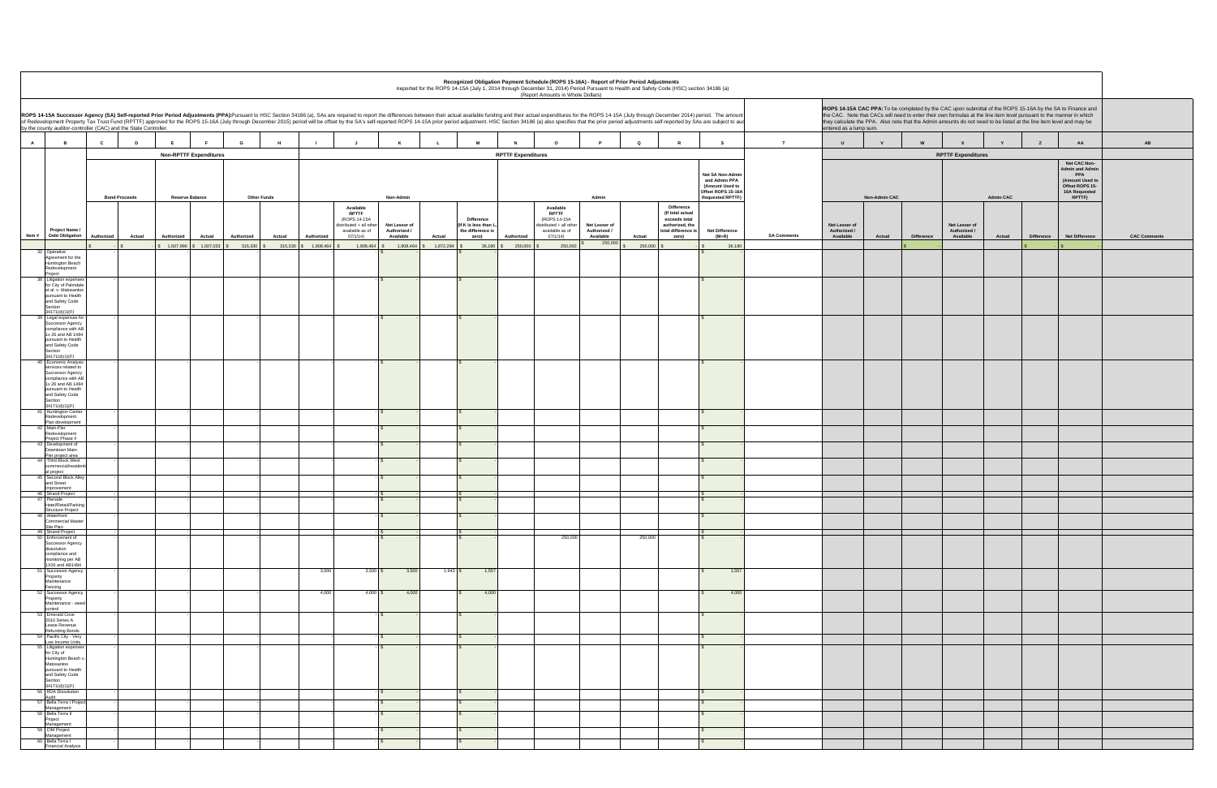|                    | ROPS 14-15A CAC PPA: To be completed by the CAC upon submittal of the ROPS 15-16A by the SA to Finance and<br>the CAC. Note that CACs will need to enter their own formulas at the line item level pursuant to the manner in which<br>they calculate the PPA. Also note that the Admin amounts do not need to be listed at the line item level and may be<br>entered as a lump sum. |               |                   |                                            |                  |                   |                                                                                                                |                     |
|--------------------|-------------------------------------------------------------------------------------------------------------------------------------------------------------------------------------------------------------------------------------------------------------------------------------------------------------------------------------------------------------------------------------|---------------|-------------------|--------------------------------------------|------------------|-------------------|----------------------------------------------------------------------------------------------------------------|---------------------|
| т                  | U                                                                                                                                                                                                                                                                                                                                                                                   | $\mathsf{v}$  | W                 | $\pmb{\mathsf{x}}$                         | Y                | $\mathsf z$       | AA                                                                                                             | AB                  |
|                    |                                                                                                                                                                                                                                                                                                                                                                                     |               |                   | <b>RPTTF Expenditures</b>                  |                  |                   |                                                                                                                |                     |
|                    |                                                                                                                                                                                                                                                                                                                                                                                     | Non-Admin CAC |                   |                                            | <b>Admin CAC</b> |                   | Net CAC Non-<br><b>Admin and Admin</b><br>PPA<br>(Amount Used to<br>Offset ROPS 15-<br>16A Requested<br>RPTTF) |                     |
| <b>SA Comments</b> | Net Lesser of<br>Authorized /<br>Available                                                                                                                                                                                                                                                                                                                                          | Actual        | <b>Difference</b> | Net Lesser of<br>Authorized /<br>Available | Actual           | <b>Difference</b> | Net Difference                                                                                                 | <b>CAC Comments</b> |
|                    |                                                                                                                                                                                                                                                                                                                                                                                     |               | \$                |                                            |                  | \$                | \$                                                                                                             |                     |
|                    |                                                                                                                                                                                                                                                                                                                                                                                     |               |                   |                                            |                  |                   |                                                                                                                |                     |
|                    |                                                                                                                                                                                                                                                                                                                                                                                     |               |                   |                                            |                  |                   |                                                                                                                |                     |
|                    |                                                                                                                                                                                                                                                                                                                                                                                     |               |                   |                                            |                  |                   |                                                                                                                |                     |
|                    |                                                                                                                                                                                                                                                                                                                                                                                     |               |                   |                                            |                  |                   |                                                                                                                |                     |
|                    |                                                                                                                                                                                                                                                                                                                                                                                     |               |                   |                                            |                  |                   |                                                                                                                |                     |
|                    |                                                                                                                                                                                                                                                                                                                                                                                     |               |                   |                                            |                  |                   |                                                                                                                |                     |
|                    |                                                                                                                                                                                                                                                                                                                                                                                     |               |                   |                                            |                  |                   |                                                                                                                |                     |
|                    |                                                                                                                                                                                                                                                                                                                                                                                     |               |                   |                                            |                  |                   |                                                                                                                |                     |
|                    |                                                                                                                                                                                                                                                                                                                                                                                     |               |                   |                                            |                  |                   |                                                                                                                |                     |
|                    |                                                                                                                                                                                                                                                                                                                                                                                     |               |                   |                                            |                  |                   |                                                                                                                |                     |
|                    |                                                                                                                                                                                                                                                                                                                                                                                     |               |                   |                                            |                  |                   |                                                                                                                |                     |
|                    |                                                                                                                                                                                                                                                                                                                                                                                     |               |                   |                                            |                  |                   |                                                                                                                |                     |
|                    |                                                                                                                                                                                                                                                                                                                                                                                     |               |                   |                                            |                  |                   |                                                                                                                |                     |
|                    |                                                                                                                                                                                                                                                                                                                                                                                     |               |                   |                                            |                  |                   |                                                                                                                |                     |
|                    |                                                                                                                                                                                                                                                                                                                                                                                     |               |                   |                                            |                  |                   |                                                                                                                |                     |
|                    |                                                                                                                                                                                                                                                                                                                                                                                     |               |                   |                                            |                  |                   |                                                                                                                |                     |
|                    |                                                                                                                                                                                                                                                                                                                                                                                     |               |                   |                                            |                  |                   |                                                                                                                |                     |

|                                                                                                                                                                                                                                                                                                                                                                                                                                                                                                                                      |                      |                             |                        |                               |                                                    |                    |                                       |                                                                                                                     |                                                            |                     |                                                                                         |                           | (Report Amounts in Whole Dollars)                                                                   |         | Recognized Obligation Payment Schedule (ROPS 15-16A) - Report of Prior Period Adjustments<br>Reported for the ROPS 14-15A (July 1, 2014 through December 31, 2014) Period Pursuant to Health and Safety Code (HSC) section 34186 (a) |                   |                                                                                                           |                                                                                                       |                    |                                            |                      |                   |                                            |                  |                   |                                                                                                                                                                                                                                                                                                                                                           |                |
|--------------------------------------------------------------------------------------------------------------------------------------------------------------------------------------------------------------------------------------------------------------------------------------------------------------------------------------------------------------------------------------------------------------------------------------------------------------------------------------------------------------------------------------|----------------------|-----------------------------|------------------------|-------------------------------|----------------------------------------------------|--------------------|---------------------------------------|---------------------------------------------------------------------------------------------------------------------|------------------------------------------------------------|---------------------|-----------------------------------------------------------------------------------------|---------------------------|-----------------------------------------------------------------------------------------------------|---------|--------------------------------------------------------------------------------------------------------------------------------------------------------------------------------------------------------------------------------------|-------------------|-----------------------------------------------------------------------------------------------------------|-------------------------------------------------------------------------------------------------------|--------------------|--------------------------------------------|----------------------|-------------------|--------------------------------------------|------------------|-------------------|-----------------------------------------------------------------------------------------------------------------------------------------------------------------------------------------------------------------------------------------------------------------------------------------------------------------------------------------------------------|----------------|
| ROPS 14-15A Successor Agency (SA) Self-reported Prior Period Adjustments (PPA):Pursuant to HSC Section 34186 (a), SAs are required to report the differences between their actual available funding and their actual expenditu<br>of Redevelopment Property Tax Trust Fund (RPTTF) approved for the ROPS 15-16A (July through December 2015) period will be offset by the SA's self-reported ROPS 14-15A prior period adjustment. HSC Section 34186 (a) also spe<br>by the county auditor-controller (CAC) and the State Controller. |                      |                             |                        |                               |                                                    |                    |                                       |                                                                                                                     |                                                            |                     |                                                                                         |                           |                                                                                                     |         |                                                                                                                                                                                                                                      |                   |                                                                                                           |                                                                                                       |                    | entered as a lump sum.                     |                      |                   |                                            |                  |                   | ROPS 14-15A CAC PPA: To be completed by the CAC upon submittal of the ROPS 15-16A by the SA to Finance and<br>the CAC. Note that CACs will need to enter their own formulas at the line item level pursuant to the manner in which<br>they calculate the PPA. Also note that the Admin amounts do not need to be listed at the line item level and may be |                |
| $\mathbf{A}$<br>$\overline{B}$                                                                                                                                                                                                                                                                                                                                                                                                                                                                                                       | $\mathbf{c}$<br>D    |                             |                        |                               | G                                                  | H                  |                                       |                                                                                                                     | ĸ                                                          |                     | M                                                                                       | $\overline{N}$            | $\Omega$                                                                                            |         |                                                                                                                                                                                                                                      | $\Omega$          |                                                                                                           | s                                                                                                     | T                  | $\mathsf{U}$                               |                      | w                 | $\mathbf{x}$                               |                  | $\mathbf{z}$      | AA                                                                                                                                                                                                                                                                                                                                                        | AB             |
|                                                                                                                                                                                                                                                                                                                                                                                                                                                                                                                                      | <b>Bond Proceeds</b> |                             | <b>Reserve Balance</b> | <b>Non-RPTTF Expenditures</b> |                                                    | <b>Other Funds</b> |                                       |                                                                                                                     | Non-Admin                                                  |                     |                                                                                         | <b>RPTTF Expenditures</b> |                                                                                                     |         | Admin                                                                                                                                                                                                                                |                   |                                                                                                           | Net SA Non-Admin<br>and Admin PPA<br>(Amount Used to<br>Offset ROPS 15-16A<br><b>Requested RPTTF)</b> |                    |                                            | <b>Non-Admin CAC</b> |                   | <b>RPTTF Expenditures</b>                  | <b>Admin CAC</b> |                   | Net CAC Non-<br><b>Admin and Admin</b><br>PPA<br>(Amount Used to<br>Offset ROPS 15-<br><b>16A Requested</b><br>RPTTF)                                                                                                                                                                                                                                     |                |
| Project Name /<br>Item #<br><b>Debt Obligation</b>                                                                                                                                                                                                                                                                                                                                                                                                                                                                                   | Authorized           | <b>Actual</b><br>Authorized |                        | <b>Actual</b>                 | Authorized<br>$$1,507,990$ $$1,507,033$ $$315,330$ | Actual             | Authorized<br>315,330 \$ 1,908,464 \$ | Available<br><b>RPTTF</b><br>(ROPS 14-15A<br>listributed + all other<br>available as of<br>07/1/14)<br>1,908,464 \$ | Net Lesser of<br>Authorized /<br>Available<br>1,908,464 \$ | Actual<br>1,872,284 | <b>Difference</b><br>(If K is less than L,<br>the difference is<br>zero)<br>$36,180$ \$ | Authorized<br>250,000 \$  | Available<br><b>RPTTF</b><br>(ROPS 14-15A<br>distributed + all other<br>available as of<br>07/1/14) | 250,000 | Net Lesser of<br>Authorized /<br>Available<br>250,000                                                                                                                                                                                | Actual<br>250,000 | <b>Difference</b><br>(If total actual<br>exceeds total<br>authorized, the<br>total difference is<br>zero) | <b>Net Difference</b><br>(M+R)<br>36,180                                                              | <b>SA Comments</b> | Net Lesser of<br>Authorized /<br>Available | Actual               | <b>Difference</b> | Net Lesser of<br>Authorized /<br>Available | Actual           | <b>Difference</b> | <b>Net Difference</b>                                                                                                                                                                                                                                                                                                                                     | <b>CAC Com</b> |
| 32 Operative<br>Agreement for the<br>Huntington Beach<br>Redevelopment                                                                                                                                                                                                                                                                                                                                                                                                                                                               |                      |                             |                        |                               |                                                    |                    |                                       |                                                                                                                     |                                                            |                     |                                                                                         |                           |                                                                                                     |         |                                                                                                                                                                                                                                      |                   |                                                                                                           |                                                                                                       |                    |                                            |                      |                   |                                            |                  |                   |                                                                                                                                                                                                                                                                                                                                                           |                |
| roject<br>38 Litigation expense<br>for City of Palmdale                                                                                                                                                                                                                                                                                                                                                                                                                                                                              |                      |                             |                        |                               |                                                    |                    |                                       |                                                                                                                     |                                                            |                     |                                                                                         |                           |                                                                                                     |         |                                                                                                                                                                                                                                      |                   |                                                                                                           |                                                                                                       |                    |                                            |                      |                   |                                            |                  |                   |                                                                                                                                                                                                                                                                                                                                                           |                |
| et al. v. Matosantos<br>pursuant to Health<br>and Safety Code<br>Section<br>34171(d)(1)(F)                                                                                                                                                                                                                                                                                                                                                                                                                                           |                      |                             |                        |                               |                                                    |                    |                                       |                                                                                                                     |                                                            |                     |                                                                                         |                           |                                                                                                     |         |                                                                                                                                                                                                                                      |                   |                                                                                                           |                                                                                                       |                    |                                            |                      |                   |                                            |                  |                   |                                                                                                                                                                                                                                                                                                                                                           |                |
| 9 Legal expenses for<br>Successor Agency<br>compliance with AE<br>1x 26 and AB 1484<br>pursuant to Health<br>and Safety Code                                                                                                                                                                                                                                                                                                                                                                                                         |                      |                             |                        |                               |                                                    |                    |                                       |                                                                                                                     |                                                            |                     |                                                                                         |                           |                                                                                                     |         |                                                                                                                                                                                                                                      |                   |                                                                                                           |                                                                                                       |                    |                                            |                      |                   |                                            |                  |                   |                                                                                                                                                                                                                                                                                                                                                           |                |
| Section<br>34171(d)(1)(F)<br>40 Economic Analysis                                                                                                                                                                                                                                                                                                                                                                                                                                                                                    |                      |                             |                        |                               |                                                    |                    |                                       |                                                                                                                     |                                                            |                     |                                                                                         |                           |                                                                                                     |         |                                                                                                                                                                                                                                      |                   |                                                                                                           |                                                                                                       |                    |                                            |                      |                   |                                            |                  |                   |                                                                                                                                                                                                                                                                                                                                                           |                |
| services related to<br>Successor Agency<br>compliance with AB<br>1x 26 and AB 1484<br>pursuant to Health<br>and Safety Code<br>Section<br>34171(d)(1)(F)                                                                                                                                                                                                                                                                                                                                                                             |                      |                             |                        |                               |                                                    |                    |                                       |                                                                                                                     |                                                            |                     |                                                                                         |                           |                                                                                                     |         |                                                                                                                                                                                                                                      |                   |                                                                                                           |                                                                                                       |                    |                                            |                      |                   |                                            |                  |                   |                                                                                                                                                                                                                                                                                                                                                           |                |
| <b>Huntington Center</b><br>Redevelopment                                                                                                                                                                                                                                                                                                                                                                                                                                                                                            |                      |                             |                        |                               |                                                    |                    |                                       |                                                                                                                     |                                                            |                     |                                                                                         |                           |                                                                                                     |         |                                                                                                                                                                                                                                      |                   |                                                                                                           |                                                                                                       |                    |                                            |                      |                   |                                            |                  |                   |                                                                                                                                                                                                                                                                                                                                                           |                |
| Plan development<br>42 Main-Pier<br>Redevelopment                                                                                                                                                                                                                                                                                                                                                                                                                                                                                    |                      |                             |                        |                               |                                                    |                    |                                       |                                                                                                                     |                                                            |                     |                                                                                         |                           |                                                                                                     |         |                                                                                                                                                                                                                                      |                   |                                                                                                           |                                                                                                       |                    |                                            |                      |                   |                                            |                  |                   |                                                                                                                                                                                                                                                                                                                                                           |                |
| Project Phase II<br>43 Development of<br>Downtown Main-                                                                                                                                                                                                                                                                                                                                                                                                                                                                              |                      |                             |                        |                               |                                                    |                    |                                       |                                                                                                                     |                                                            |                     |                                                                                         |                           |                                                                                                     |         |                                                                                                                                                                                                                                      |                   |                                                                                                           |                                                                                                       |                    |                                            |                      |                   |                                            |                  |                   |                                                                                                                                                                                                                                                                                                                                                           |                |
| Pier project area<br>44 Third Block West<br>commercial/residen                                                                                                                                                                                                                                                                                                                                                                                                                                                                       |                      |                             |                        |                               |                                                    |                    |                                       |                                                                                                                     |                                                            |                     |                                                                                         |                           |                                                                                                     |         |                                                                                                                                                                                                                                      |                   |                                                                                                           |                                                                                                       |                    |                                            |                      |                   |                                            |                  |                   |                                                                                                                                                                                                                                                                                                                                                           |                |
| al project<br>45 Second Block Alley<br>and Street                                                                                                                                                                                                                                                                                                                                                                                                                                                                                    |                      |                             |                        |                               |                                                    |                    |                                       |                                                                                                                     |                                                            |                     |                                                                                         |                           |                                                                                                     |         |                                                                                                                                                                                                                                      |                   |                                                                                                           |                                                                                                       |                    |                                            |                      |                   |                                            |                  |                   |                                                                                                                                                                                                                                                                                                                                                           |                |
| Improvement<br>46 Strand Project<br>47 Pierside                                                                                                                                                                                                                                                                                                                                                                                                                                                                                      |                      |                             |                        |                               |                                                    |                    |                                       |                                                                                                                     |                                                            |                     |                                                                                         |                           |                                                                                                     |         |                                                                                                                                                                                                                                      |                   |                                                                                                           |                                                                                                       |                    |                                            |                      |                   |                                            |                  |                   |                                                                                                                                                                                                                                                                                                                                                           |                |
| Hotel/Retail/Parking<br>Structure Project<br>48 Waterfront                                                                                                                                                                                                                                                                                                                                                                                                                                                                           |                      |                             |                        |                               |                                                    |                    |                                       |                                                                                                                     |                                                            |                     |                                                                                         |                           |                                                                                                     |         |                                                                                                                                                                                                                                      |                   |                                                                                                           |                                                                                                       |                    |                                            |                      |                   |                                            |                  |                   |                                                                                                                                                                                                                                                                                                                                                           |                |
| <b>Commercial Master</b><br>Site Plan<br>49 Strand Project                                                                                                                                                                                                                                                                                                                                                                                                                                                                           |                      |                             |                        |                               |                                                    |                    |                                       |                                                                                                                     |                                                            |                     |                                                                                         |                           |                                                                                                     |         |                                                                                                                                                                                                                                      |                   |                                                                                                           |                                                                                                       |                    |                                            |                      |                   |                                            |                  |                   |                                                                                                                                                                                                                                                                                                                                                           |                |
| 50 Enforcement of<br>Successor Agency<br>dissolution<br>compliance and<br>monitoring per AB                                                                                                                                                                                                                                                                                                                                                                                                                                          |                      |                             |                        |                               |                                                    |                    |                                       |                                                                                                                     |                                                            |                     |                                                                                         |                           |                                                                                                     | 250,000 |                                                                                                                                                                                                                                      | 250,000           |                                                                                                           |                                                                                                       |                    |                                            |                      |                   |                                            |                  |                   |                                                                                                                                                                                                                                                                                                                                                           |                |
| 1X26 and AB1484<br>51 Successor Agency<br>Property<br>Maintenance                                                                                                                                                                                                                                                                                                                                                                                                                                                                    |                      |                             |                        |                               |                                                    |                    | 3,500                                 |                                                                                                                     | $3,500$ \$<br>3,500                                        |                     | 1,557<br>$1,943$ \$                                                                     |                           |                                                                                                     |         |                                                                                                                                                                                                                                      |                   |                                                                                                           | 1,557                                                                                                 |                    |                                            |                      |                   |                                            |                  |                   |                                                                                                                                                                                                                                                                                                                                                           |                |
| Fencing<br>52 Successor Agency<br>Property<br>Maintenance - weed                                                                                                                                                                                                                                                                                                                                                                                                                                                                     |                      |                             |                        |                               |                                                    |                    | 4,000                                 |                                                                                                                     | $4,000$ \$<br>4,000                                        |                     | 4,000                                                                                   |                           |                                                                                                     |         |                                                                                                                                                                                                                                      |                   |                                                                                                           | 4,000                                                                                                 |                    |                                            |                      |                   |                                            |                  |                   |                                                                                                                                                                                                                                                                                                                                                           |                |
| control<br>53 Emerald Cove<br>2010 Series A<br>Lease Revenue                                                                                                                                                                                                                                                                                                                                                                                                                                                                         |                      |                             |                        |                               |                                                    |                    |                                       |                                                                                                                     |                                                            |                     |                                                                                         |                           |                                                                                                     |         |                                                                                                                                                                                                                                      |                   |                                                                                                           |                                                                                                       |                    |                                            |                      |                   |                                            |                  |                   |                                                                                                                                                                                                                                                                                                                                                           |                |
| Refunding Bonds<br>54 Pacific City - Very<br>Low Income Units                                                                                                                                                                                                                                                                                                                                                                                                                                                                        |                      |                             |                        |                               |                                                    |                    |                                       |                                                                                                                     |                                                            |                     |                                                                                         |                           |                                                                                                     |         |                                                                                                                                                                                                                                      |                   |                                                                                                           |                                                                                                       |                    |                                            |                      |                   |                                            |                  |                   |                                                                                                                                                                                                                                                                                                                                                           |                |
| 55 Litigation expenses<br>for City of<br>Huntington Beach v<br>Matosantos<br>pursuant to Health<br>and Safety Code<br>Section                                                                                                                                                                                                                                                                                                                                                                                                        |                      |                             |                        |                               |                                                    |                    |                                       |                                                                                                                     |                                                            |                     |                                                                                         |                           |                                                                                                     |         |                                                                                                                                                                                                                                      |                   |                                                                                                           |                                                                                                       |                    |                                            |                      |                   |                                            |                  |                   |                                                                                                                                                                                                                                                                                                                                                           |                |
| 34171(d)(1)(F)<br>56 RDA Dissolution                                                                                                                                                                                                                                                                                                                                                                                                                                                                                                 |                      |                             |                        |                               |                                                    |                    |                                       |                                                                                                                     |                                                            |                     |                                                                                         |                           |                                                                                                     |         |                                                                                                                                                                                                                                      |                   |                                                                                                           |                                                                                                       |                    |                                            |                      |                   |                                            |                  |                   |                                                                                                                                                                                                                                                                                                                                                           |                |
| Audit<br>57 Bella Terra I Projec<br>Management                                                                                                                                                                                                                                                                                                                                                                                                                                                                                       |                      |                             |                        |                               |                                                    |                    |                                       |                                                                                                                     |                                                            |                     |                                                                                         |                           |                                                                                                     |         |                                                                                                                                                                                                                                      |                   |                                                                                                           |                                                                                                       |                    |                                            |                      |                   |                                            |                  |                   |                                                                                                                                                                                                                                                                                                                                                           |                |
| 58 Bella Terra II<br>Project<br>Management                                                                                                                                                                                                                                                                                                                                                                                                                                                                                           |                      |                             |                        |                               |                                                    |                    |                                       |                                                                                                                     |                                                            |                     |                                                                                         |                           |                                                                                                     |         |                                                                                                                                                                                                                                      |                   |                                                                                                           |                                                                                                       |                    |                                            |                      |                   |                                            |                  |                   |                                                                                                                                                                                                                                                                                                                                                           |                |
| 59 CIM Project<br>Management                                                                                                                                                                                                                                                                                                                                                                                                                                                                                                         |                      |                             |                        |                               |                                                    |                    |                                       |                                                                                                                     | $\mathbf{s}$                                               |                     |                                                                                         |                           |                                                                                                     |         |                                                                                                                                                                                                                                      |                   |                                                                                                           |                                                                                                       |                    |                                            |                      |                   |                                            |                  |                   |                                                                                                                                                                                                                                                                                                                                                           |                |
| 60 Bella Terra I<br><b>Financial Analysis</b>                                                                                                                                                                                                                                                                                                                                                                                                                                                                                        |                      |                             |                        |                               |                                                    |                    |                                       |                                                                                                                     |                                                            |                     |                                                                                         |                           |                                                                                                     |         |                                                                                                                                                                                                                                      |                   |                                                                                                           |                                                                                                       |                    |                                            |                      |                   |                                            |                  |                   |                                                                                                                                                                                                                                                                                                                                                           |                |